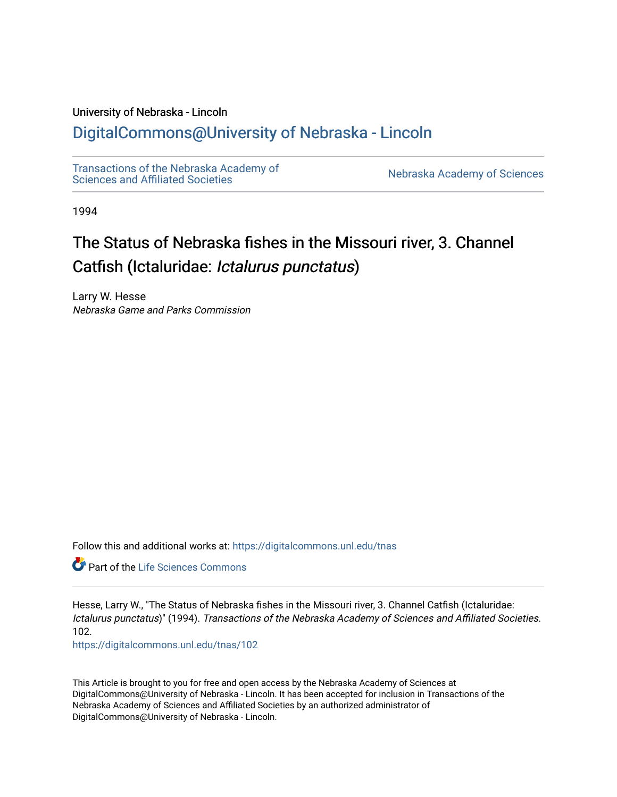# University of Nebraska - Lincoln

# [DigitalCommons@University of Nebraska - Lincoln](https://digitalcommons.unl.edu/)

[Transactions of the Nebraska Academy of](https://digitalcommons.unl.edu/tnas)  Transactions of the Nebraska Academy of Sciences<br>Sciences and Affiliated Societies

1994

# The Status of Nebraska fishes in the Missouri river, 3. Channel Catfish (Ictaluridae: Ictalurus punctatus)

Larry W. Hesse Nebraska Game and Parks Commission

Follow this and additional works at: [https://digitalcommons.unl.edu/tnas](https://digitalcommons.unl.edu/tnas?utm_source=digitalcommons.unl.edu%2Ftnas%2F102&utm_medium=PDF&utm_campaign=PDFCoverPages) 

**C** Part of the Life Sciences Commons

Hesse, Larry W., "The Status of Nebraska fishes in the Missouri river, 3. Channel Catfish (Ictaluridae: Ictalurus punctatus)" (1994). Transactions of the Nebraska Academy of Sciences and Affiliated Societies. 102.

[https://digitalcommons.unl.edu/tnas/102](https://digitalcommons.unl.edu/tnas/102?utm_source=digitalcommons.unl.edu%2Ftnas%2F102&utm_medium=PDF&utm_campaign=PDFCoverPages) 

This Article is brought to you for free and open access by the Nebraska Academy of Sciences at DigitalCommons@University of Nebraska - Lincoln. It has been accepted for inclusion in Transactions of the Nebraska Academy of Sciences and Affiliated Societies by an authorized administrator of DigitalCommons@University of Nebraska - Lincoln.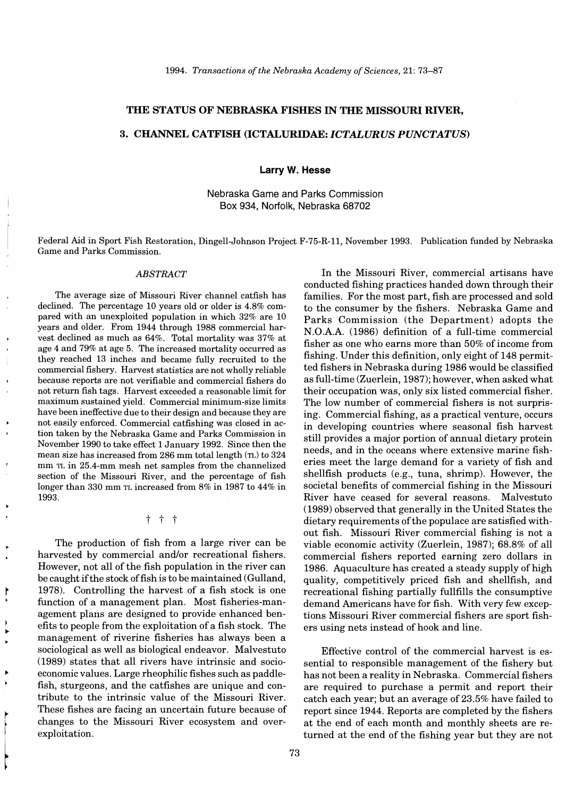# THE STATUS OF NEBRASKA FISHES IN THE MISSOURI RIVER,

# 3. CHANNEL CATFISH (ICTALURIDAE: *ICTALURUS PUNCTATUS)*

Larry W. Hesse

Nebraska Game and Parks Commission Box 934, Norfolk, Nebraska 68702

Federal Aid in Sport Fish Restoration, Dingell-Johnson Project F-75-R-ll, November 1993. Publication funded by Nebraska Game and Parks Commission.

#### *ABSTRACT*

The average size of Missouri River channel catfish has declined. The percentage 10 years old or older is 4.8% compared with an unexploited population in which 32% are 10 years and older. From 1944 through 1988 commercial harvest declined as much as 64%. Total mortality was 37% at age 4 and 79% at age 5. The increased mortality occurred as they reached 13 inches and became fully recruited to the commercial fishery. Harvest statistics are not wholly reliable because reports are not verifiable and commercial fishers do not return fish tags. Harvest exceeded a reasonable limit for maximum sustained yield. Commercial minimum-size limits have been ineffective due to their design and because they are not easily enforced. Commercial catfishing was closed in action taken by the Nebraska Game and Parks Commission in November 1990 to take effect 1 January 1992. Since then the mean size has increased from 286 mm total length (TL) to 324 mm TL in 25.4-mm mesh net samples from the channelized section of the Missouri River, and the percentage of fish longer than 330 mm TL increased from 8% in 1987 to 44% in 1993.

t t t

The production of fish from a large river can be harvested by commercial and/or recreational fishers. However, not all of the fish population in the river can be caught if the stock of fish is to be maintained (Gulland, 1978). Controlling the harvest of a fish stock is one function of a management plan. Most fisheries-management plans are designed to provide enhanced benefits to people from the exploitation of a fish stock. The management of riverine fisheries has always been a sociological as well as biological endeavor. Malvestuto (1989) states that all rivers have intrinsic and socioeconomic values. Large rheophilic fishes such as paddlefish, sturgeons, and the catfishes are unique and contribute to the intrinsic value of the Missouri River. These fishes are facing an uncertain future because of changes to the Missouri River ecosystem and overexploitation.

In the Missouri River, commercial artisans have conducted fishing practices handed down through their families. For the most part, fish are processed and sold to the consumer by the fishers. Nebraska Game and Parks Commission (the Department) adopts the N.O.A.A. (1986) definition of a full-time commercial fisher as one who earns more than 50% of income from fishing. Under this definition, only eight of 148 permitted fishers in Nebraska during 1986 would be classified as full-time (Zuerlein, 1987); however, when asked what their occupation was, only six listed commercial fisher. The low number of commercial fishers is not surprising. Commercial fishing, as a practical venture, occurs in developing countries where seasonal fish harvest still provides a major portion of annual dietary protein needs, and in the oceans where extensive marine fisheries meet the large demand for a variety of fish and shellfish products (e.g., tuna, shrimp). However, the societal benefits of commercial fishing in the Missouri River have ceased for several reasons. Malvestuto (1989) observed that generally in the United States the dietary requirements of the populace are satisfied without fish. Missouri River commercial fishing is not a viable economic activity (Zuerlein, 1987); 68.8% of all commercial fishers reported earning zero dollars in 1986. Aquaculture has created a steady supply of high quality, competitively priced fish and shellfish, and recreational fishing partially fullfills the consumptive demand Americans have for fish. With very few exceptions Missouri River commercial fishers are sport fishers using nets instead of hook and line.

Effective control of the commercial harvest is essential to responsible management of the fishery but has not been a reality in Nebraska. Commercial fishers are required to purchase a permit and report their catch each year; but an average of 23.5% have failed to report since 1944. Reports are completed by the fishers at the end of each month and monthly sheets are returned at the end of the fishing year but they are not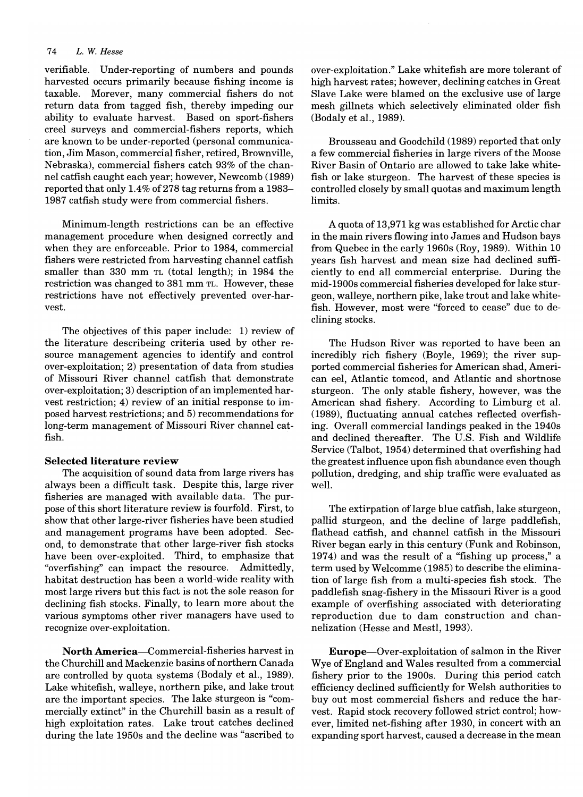verifiable. Under-reporting of numbers and pounds harvested occurs primarily because fishing income is taxable. Morever, many commercial fishers do not return data from tagged fish, thereby impeding our ability to evaluate harvest. Based on sport-fishers creel surveys and commercial-fishers reports, which are known to be under-reported (personal communication, Jim Mason, commercial fisher, retired, Brownville, Nebraska), commercial fishers catch 93% of the channel catfish caught each year; however, Newcomb (1989) reported that only 1.4% of 278 tag returns from a 1983– 1987 catfish study were from commercial fishers.

Minimum-length restrictions can be an effective management procedure when designed correctly and when they are enforceable. Prior to 1984, commercial fishers were restricted from harvesting channel catfish smaller than 330 mm TL (total length); in 1984 the restriction was changed to 381 mm TL. However, these restrictions have not effectively prevented over-harvest.

The objectives of this paper include: 1) review of the literature describeing criteria used by other resource management agencies to identify and control over-exploitation; 2) presentation of data from studies of Missouri River channel catfish that demonstrate over-exploitation; 3) description of an implemented harvest restriction; 4) review of an initial response to imposed harvest restrictions; and 5) recommendations for long-term management of Missouri River channel catfish.

#### **Selected literature review**

The acquisition of sound data from large rivers has always been a difficult task. Despite this, large river fisheries are managed with available data. The purpose of this short literature review is fourfold. First, to show that other large-river fisheries have been studied and management programs have been adopted. Second, to demonstrate that other large-river fish stocks have been over-exploited. Third, to emphasize that "overfishing" can impact the resource. Admittedly, habitat destruction has been a world-wide reality with most large rivers but this fact is not the sole reason for declining fish stocks. Finally, to learn more about the various symptoms other river managers have used to recognize over-exploitation.

**North** America-Commercial-fisheries harvest in the Churchill and Mackenzie basins of northern Canada are controlled by quota systems (Bodaly et aI., 1989). Lake whitefish, walleye, northern pike, and lake trout are the important species. The lake sturgeon is "commercially extinct" in the Churchill basin as a result of high exploitation rates. Lake trout catches declined during the late 1950s and the decline was "ascribed to

over-exploitation." Lake whitefish are more tolerant of high harvest rates; however, declining catches in Great Slave Lake were blamed on the exclusive use of large mesh gillnets which selectively eliminated older fish (Bodaly et aI., 1989).

Brousseau and Goodchild (1989) reported that only a few commercial fisheries in large rivers of the Moose River Basin of Ontario are allowed to take lake whitefish or lake sturgeon. The harvest of these species is controlled closely by small quotas and maximum length limits.

A quota of 13,971 kg was established for Arctic char in the main rivers flowing into James and Hudson bays from Quebec in the early 1960s (Roy, 1989). Within 10 years fish harvest and mean size had declined sufficiently to end all commercial enterprise. During the mid-1900s commercial fisheries developed for lake sturgeon, walleye, northern pike, lake trout and lake whitefish. However, most were "forced to cease" due to declining stocks.

The Hudson River was reported to have been an incredibly rich fishery (Boyle, 1969); the river supported commercial fisheries for American shad, American eel, Atlantic tomcod, and Atlantic and shortnose sturgeon. The only stable fishery, however, was the American shad fishery. According to Limburg et aI. (1989), fluctuating annual catches reflected overfishing. Overall commercial landings peaked in the 1940s and declined thereafter. The U.s. Fish and Wildlife Service (Talbot, 1954) determined that overfishing had the greatest influence upon fish abundance even though pollution, dredging, and ship traffic were evaluated as well.

The extirpation of large blue catfish, lake sturgeon, pallid sturgeon, and the decline of large paddlefish, flathead catfish, and channel catfish in the Missouri River began early in this century (Funk and Robinson, 1974) and was the result of a "fishing up process," a term used by Welcomme (1985) to describe the elimination of large fish from a multi-species fish stock. The paddlefish snag-fishery in the Missouri River is a good example of overfishing associated with deteriorating reproduction due to dam construction and channelization (Hesse and Mestl, 1993).

Europe-Over-exploitation of salmon in the River Wye of England and Wales resulted from a commercial fishery prior to the 1900s. During this period catch efficiency declined sufficiently for Welsh authorities to buy out most commercial fishers and reduce the harvest. Rapid stock recovery followed strict control; however, limited net-fishing after 1930, in concert with an expanding sport harvest, caused a decrease in the mean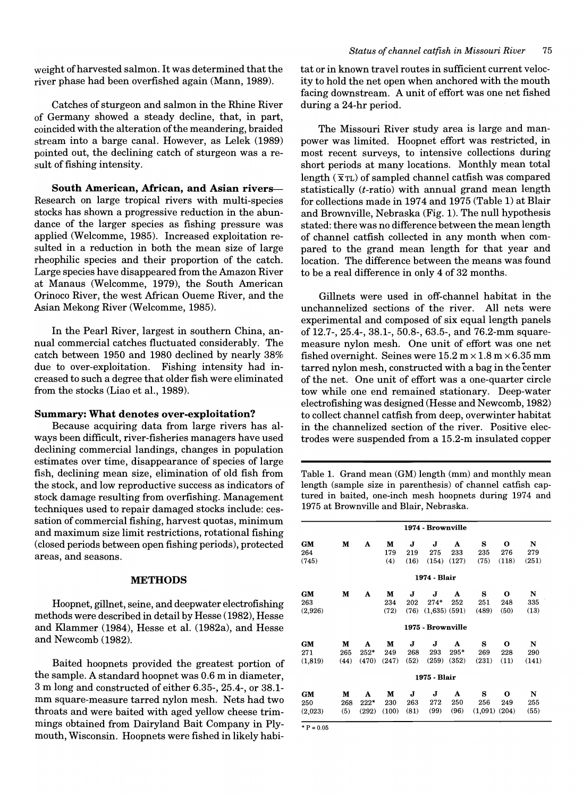weight of harvested salmon. It was determined that the river phase had been overfished again (Mann, 1989).

Catches of sturgeon and salmon in the Rhine River of Germany showed a steady decline, that, in part, coincided with the alteration of the meandering, braided stream into a barge canal. However, as Lelek (1989) pointed out, the declining catch of sturgeon was a result of fishing intensity.

South American, African, and Asian rivers-Research on large tropical rivers with multi-species stocks has shown a progressive reduction in the abundance of the larger species as fishing pressure was applied (Welcomme, 1985). Increased exploitation resulted in a reduction in both the mean size of large rheophilic species and their proportion of the catch. Large species have disappeared from the Amazon River at Manaus (Welcomme, 1979), the South American Orinoco River, the west Mrican Oueme River, and the Asian Mekong River (Welcomme, 1985).

In the Pearl River, largest in southern China, annual commercial catches fluctuated considerably. The catch between 1950 and 1980 declined by nearly 38% due to over-exploitation. Fishing intensity had increased to such a degree that older fish were eliminated from the stocks (Liao et aI., 1989).

# Summary: What denotes over-exploitation?

Because acquiring data from large rivers has always been difficult, river-fisheries managers have used declining commercial landings, changes in population estimates over time, disappearance of species of large fish, declining mean size, elimination of old fish from the stock, and low reproductive success as indicators of stock damage resulting from overfishing. Management techniques used to repair damaged stocks include: cessation of commercial fishing, harvest quotas, minimum and maximum size limit restrictions, rotational fishing (closed periods between open fishing periods), protected areas, and seasons.

# METHODS

Hoopnet, gillnet, seine, and deepwater electrofishing methods were described in detail by Hesse (1982), Hesse and Klammer (1984), Hesse et al. (1982a), and Hesse and Newcomb (1982).

Baited hoopnets provided the greatest portion of the sample. A standard hoopnet was 0.6 m in diameter, 3 m long and constructed of either 6.35-,25.4-, or 38.1 mm square-measure tarred nylon mesh. Nets had two throats and were baited with aged yellow cheese trimmings obtained from Dairyland Bait Company in Plymouth, Wisconsin. Hoopnets were fished in likely habitat or in known travel routes in sufficient current velocity to hold the net open when anchored with the mouth facing downstream. A unit of effort was one net fished during a 24-hr period.

The Missouri River study area is large and manpower was limited. Hoopnet effort was restricted, in most recent surveys, to intensive collections during short periods at many locations. Monthly mean total length  $(\bar{x}_{TL})$  of sampled channel catfish was compared statistically (t-ratio) with annual grand mean length for collections made in 1974 and 1975 (Table 1) at Blair and Brownville, Nebraska (Fig. 1). The null hypothesis stated: there was no difference between the mean length of channel catfish collected in any month when compared to the grand mean length for that year and location. The difference between the means was found to be a real difference in only 4 of 32 months.

Gillnets were used in off-channel habitat in the unchannelized sections of the river. All nets were experimental and composed of six equal length panels of 12.7-,25.4-,38.1-,50.8-,63.5-, and 76.2-mm squaremeasure nylon mesh. One unit of effort was one net fished overnight. Seines were  $15.2 \text{ m} \times 1.8 \text{ m} \times 6.35 \text{ mm}$ tarred nylon mesh, constructed with a bag in the center of the net. One unit of effort was a one-quarter circle tow while one end remained stationary. Deep-water electrofishing was designed (Hesse and Newcomb, 1982) to collect channel catfish from deep, overwinter habitat in the channelized section of the river. Positive electrodes were suspended from a 15.2-m insulated copper

Table 1. Grand mean (GM) length (mm) and monthly mean length (sample size in parenthesis) of channel catfish captured in baited, one-inch mesh hoopnets during 1974 and 1975 at Brownville and Blair, Nebraska.

|              |      |        |       |      | 1974 - Brownville |        |         |             |       |
|--------------|------|--------|-------|------|-------------------|--------|---------|-------------|-------|
| <b>GM</b>    | M    | A      | М     | J    | J                 | A      | s       | 0           | N     |
| 264          |      |        | 179   | 219  | 275               | 233    | 235     | 276         | 279   |
| (745)        |      |        | (4)   | (16) | (154)             | (127)  | (75)    | (118)       | (251) |
|              |      |        |       |      | 1974 - Blair      |        |         |             |       |
| GM           | М    | A      | м     | J    | J                 | A      | s       | $\mathbf o$ | N     |
| 263          |      |        | 234   | 202  | $274*$            | 252    | 251     | 248         | 335   |
| (2,926)      |      |        | (72)  | (76) | $(1,635)$ $(591)$ |        | (489)   | (50)        | (13)  |
|              |      |        |       |      | 1975 - Brownville |        |         |             |       |
| GM           | М    | A      | М     | J    | J                 | A      | s       | $\mathbf o$ | N     |
| 271          | 265  | $252*$ | 249   | 268  | 293               | $295*$ | 269     | 228         | 290   |
| (1, 819)     | (44) | (470)  | (247) | (52) | (259)             | (352)  | (231)   | (11)        | (141) |
|              |      |        |       |      | 1975 - Blair      |        |         |             |       |
| GM           | М    | A      | м     | J    | J                 | A      | s       | o           | N     |
| 250          | 268  | $222*$ | 230   | 263  | 272               | 250    | 256     | 249         | 255   |
| (2,023)      | (5)  | (292)  | (100) | (81) | (99)              | (96)   | (1,091) | (204)       | (55)  |
| $*$ P = 0.05 |      |        |       |      |                   |        |         |             |       |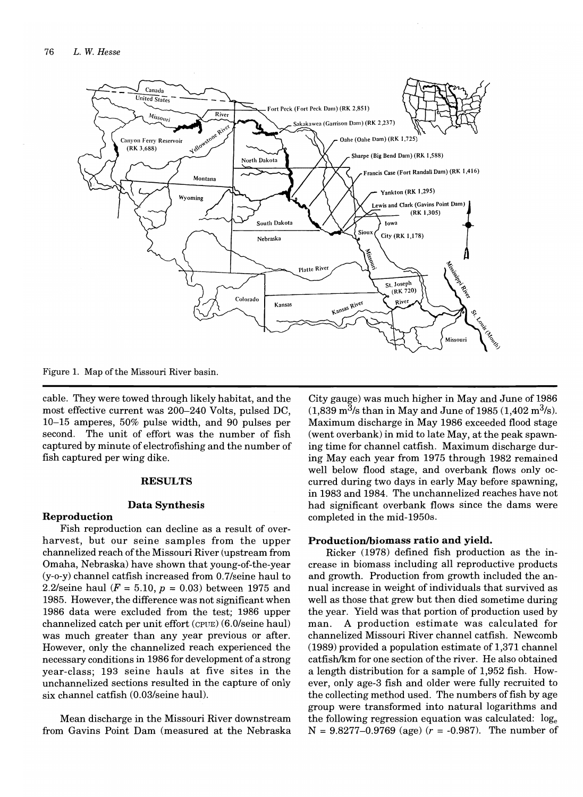

Figure 1. Map of the Missouri River basin.

cable. They were towed through likely habitat, and the most effective current was 200-240 Volts, pulsed DC, 10-15 amperes, 50% pulse width, and 90 pulses per second. The unit of effort was the number of fish captured by minute of electrofishing and the number of fish captured per wing dike.

#### **RESULTS**

#### **Data Synthesis**

# **Reproduction**

Fish reproduction can decline as a result of overharvest, but our seine samples from the upper channelized reach ofthe Missouri River (upstream from Omaha, Nebraska) have shown that young-of-the-year (y-o-y) channel catfish increased from 0.7/seine haul to 2.2/seine haul  $(F = 5.10, p = 0.03)$  between 1975 and 1985. However, the difference was not significant when 1986 data were excluded from the test; 1986 upper channelized catch per unit effort (CPUE) (6.0/seine haul) was much greater than any year previous or after. However, only the channelized reach experienced the necessary conditions in 1986 for development of a strong year-class; 193 seine hauls at five sites in the unchannelized sections resulted in the capture of only six channel catfish (0.03/seine haul).

Mean discharge in the Missouri River downstream from Gavins Point Dam (measured at the Nebraska

City gauge) was much higher in May and June of 1986  $(1,839 \text{ m}^3/\text{s} \text{ than in May and June of } 1985 \cdot (1,402 \text{ m}^3/\text{s}).$ Maximum discharge in May 1986 exceeded flood stage (went overbank) in mid to late May, at the peak spawning time for channel catfish. Maximum discharge during May each year from 1975 through 1982 remained well below flood stage, and overbank flows only occurred during two days in early May before spawning, in 1983 and 1984. The unchannelized reaches have not had significant overbank flows since the dams were completed in the mid-1950s.

# Production/biomass ratio and yield.

Ricker (1978) defined fish production as the increase in biomass including all reproductive products and growth. Production from growth included the annual increase in weight of individuals that survived as well as those that grew but then died sometime during the year. Yield was that portion of production used by man. A production estimate was calculated for channelized Missouri River channel catfish. Newcomb (1989) provided a population estimate of 1,371 channel catfish/km for one section of the river. He also obtained a length distribution for a sample of 1,952 fish. However, only age-3 fish and older were fully recruited to the collecting method used. The numbers of fish by age group were transformed into natural logarithms and the following regression equation was calculated:  $log_e$  $N = 9.8277 - 0.9769$  (age)  $(r = -0.987)$ . The number of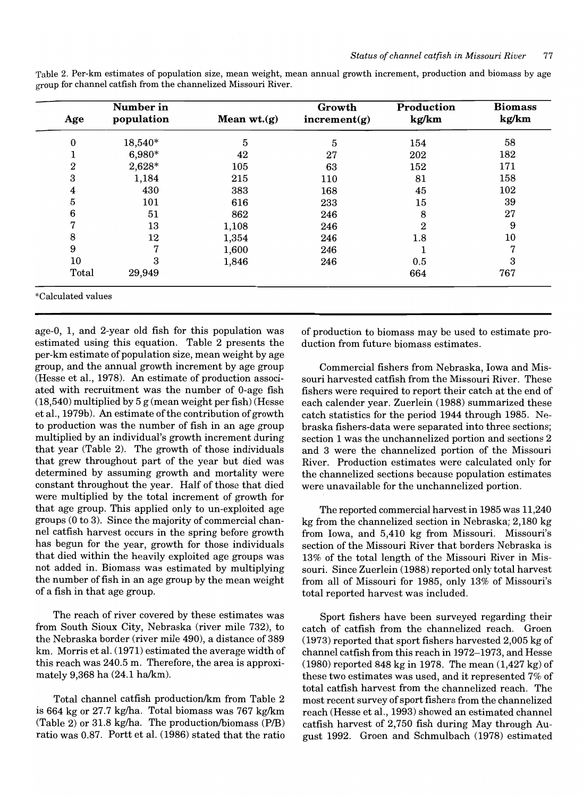| Age                | Number in<br>population | Mean $wt.(g)$ | Growth<br>increment(g) | Production<br>kg/km | <b>Biomass</b><br>kg/km |
|--------------------|-------------------------|---------------|------------------------|---------------------|-------------------------|
| 0                  | 18,540*                 | 5             | 5                      | 154                 | 58                      |
|                    | 6,980*                  | 42            | 27                     | 202                 | 182                     |
| 2                  | 2,628*                  | 105           | 63                     | 152                 | 171                     |
| 3                  | 1,184                   | 215           | 110                    | 81                  | 158                     |
| 4                  | 430                     | 383           | 168                    | 45                  | 102                     |
| 5                  | 101                     | 616           | 233                    | 15                  | 39                      |
| 6                  | 51                      | 862           | 246                    | 8                   | 27                      |
|                    | 13                      | 1,108         | 246                    | $\boldsymbol{2}$    | 9                       |
| 8                  | 12                      | 1,354         | 246                    | $1.8\,$             | 10                      |
| 9                  | די                      | 1,600         | 246                    |                     | 7                       |
| 10                 | 3                       | 1,846         | 246                    | 0.5                 | 3                       |
| Total              | 29,949                  |               |                        | 664                 | 767                     |
| *Calculated values |                         |               |                        |                     |                         |

Table 2. Per-km estimates of population size, mean weight, mean annual growth increment, production and biomass by age group for channel catfish from the channelized Missouri River.

age-O, 1, and 2-year old fish for this population was estimated using this equation. Table 2 presents the per-km estimate of population size, mean weight by age group, and the annual growth increment by age group (Hesse et aI., 1978). An estimate of production associated with recruitment was the number of O-age fish (18,540) multiplied by 5 g (mean weight per fish) (Hesse et al., 1979b). An estimate of the contribution of growth to production was the number of fish in an age group multiplied by an individual's growth increment during that year (Table 2). The growth of those individuals that grew throughout part of the year but died was determined by assuming growth and mortality were constant throughout the year. Half of those that died were multiplied by the total increment of growth for that age group. This applied only to un-exploited age groups (0 to 3). Since the majority of commercial channel catfish harvest occurs in the spring before growth has begun for the year, growth for those individuals that died within the heavily exploited age groups was not added in. Biomass was estimated by multiplying the number of fish in an age group by the mean weight of a fish in that age group.

The reach of river covered by these estimates was from South Sioux City, Nebraska (river mile 732), to the Nebraska border (river mile 490), a distance of 389 km. Morris et aI. (1971) estimated the average width of this reach was 240.5 m. Therefore, the area is approximately  $9,368$  ha  $(24.1$  ha/km).

Total channel catfish production/km from Table 2 is 664 kg or  $27.7$  kg/ha. Total biomass was 767 kg/km  $(Table 2)$  or 31.8 kg/ha. The production/biomass  $(P/B)$ ratio was 0.87. Portt et aI. (1986) stated that the ratio of production to biomass may be used to estimate production from future biomass estimates.

Commercial fishers from Nebraska, Iowa and Missouri harvested catfish from the Missouri River. These fishers were required to report their catch at the end of each calender year. Zuerlein (1988) summarized these catch statistics for the period 1944 through 1985. Nebraska fishers-data were separated into three sections; section 1 was the unchannelized portion and sections 2 and 3 were the channelized portion of the Missouri River. Production estimates were calculated only for the channelized sections because population estimates were unavailable for the unchannelized portion.

The reported commercial harvest in 1985 was 11,240 kg from the channelized section in Nebraska; 2,180 kg from Iowa, and 5,410 kg from Missouri. Missouri's section of the Missouri River that borders Nebraska is 13% of the total length of the Missouri River in Missouri. Since Zuerlein (1988) reported only total harvest from all of Missouri for 1985, only 13% of Missouri's total reported harvest was included.

Sport fishers have been surveyed regarding their catch of catfish from the channelized reach. Groen (1973) reported that sport fishers harvested 2,005 kg of channel catfish from this reach in 1972-1973, and Hesse (1980) reported 848 kg in 1978. The mean (1,427 kg) of these two estimates was used, and it represented 7% of total catfish harvest from the channelized reach. The most recent survey of sport fishers from the channelized reach (Hesse et aI., 1993) showed an estimated channel catfish harvest of 2,750 fish during May through August 1992. Groen and Schmulbach (1978) estimated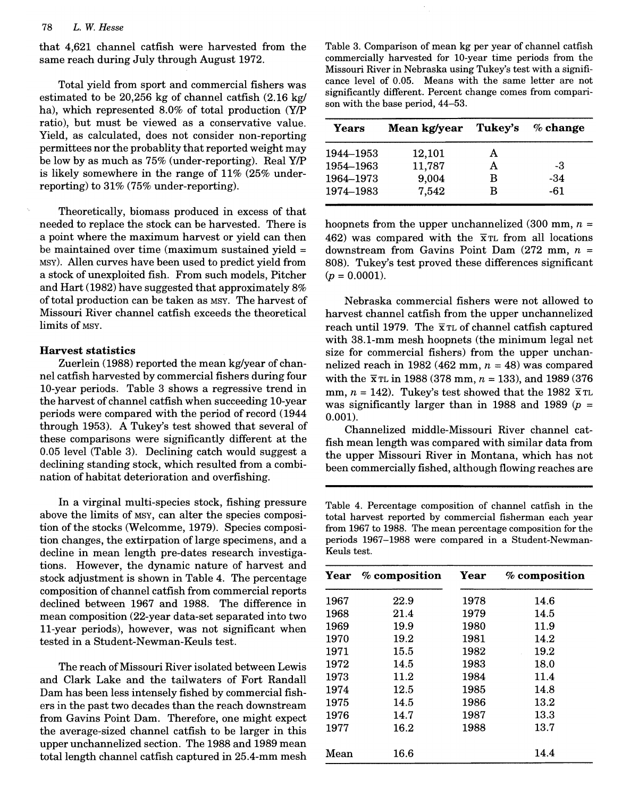that 4,621 channel catfish were harvested from the same reach during July through August 1972.

Total yield from sport and commercial fishers was estimated to be 20,256 kg of channel catfish  $(2.16 \text{ kg})$  significantly different represent to some with the base period, 44–53. ha), which represented 8.0% of total production (Y/P ratio), but must be viewed as a conservative value. Yield, as calculated, does not consider non-reporting permittees nor the probablity that reported weight may be low by as much as  $75\%$  (under-reporting). Real Y/P is likely somewhere in the range of  $11\%$  (25% underreporting) to  $31\%$  (75% under-reporting).

Theoretically, biomass produced in excess of that needed to replace the stock can be harvested. There is a point where the maximum harvest or yield can then be maintained over time (maximum sustained vield  $=$ MSY). Allen curves have been used to predict yield from a stock of unexploited fish. From such models, Pitcher  $(p = 0.0001)$ . and Hart  $(1982)$  have suggested that approximately  $8\%$ of total production can be taken as MSY. The harvest of Missouri River channel catfish exceeds the theoretical  $\frac{1}{2}$ 

# Harvest statistics

Zuerlein (1988) reported the mean kg/year of channel catfish harvested by commercial fishers during four 10-year periods. Table 3 shows a regressive trend in the harvest of channel catfish when succeeding 10-year periods were compared with the period of record  $(1944 \qquad 0.001)$ . through 1953). A Tukey's test showed that several of these comparisons were significantly different at the  $0.05$  level (Table 3). Declining catch would suggest a declining standing stock, which resulted from a combination of habitat deterioration and overfishing.

In a virginal multi-species stock, fishing pressure above the limits of MSY, can alter the species composition of the stocks (Welcomme, 1979). Species composition changes, the extirpation of large specimens, and a decline in mean length pre-dates research investiga- Keuls test. tions. However, the dynamic nature of harvest and stock adjustment is shown in Table 4. The percentage composition of channel catfish from commercial reports declined between 1967 and 1988. The difference in mean composition (22-year data-set separated into two 11-year periods), however, was not significant when The reach of  $\frac{1}{2}$  mission  $\frac{1}{2}$ 

The reach of Missouri River isolated between Lewis and Clark Lake and the tailwaters of Fort Randall Dam has been less intensely fished by commercial fishers in the past two decades than the reach downstream from Gavins Point Dam. Therefore, one might expect the average-sized channel catfish to be larger in this upper unchannelized section. The 1988 and 1989 mean total length channel catfish captured in 25.4-mm mesh

Table 3. Comparison of mean kg per year of channel catfish commercially harvested for 10-year time periods from the Missouri River in Nebraska using Tukey's test with a significance level of 0.05. Means with the same letter are not significantly different. Percent change comes from compari- $\mu$ If the base period,  $\pm\pm$  00.

| Years     | Mean kg/year | Tukey's | $\%$ change |
|-----------|--------------|---------|-------------|
| 1944-1953 | 12,101       | A       |             |
| 1954–1963 | 11,787       | A       | -3          |
| 1964–1973 | 9,004        | В       | -34         |
| 1974–1983 | 7,542        | в       | -61         |

hoopnets from the upper unchannelized (300 mm,  $n =$ 462) was compared with the  $\bar{x}$ <sup>TL</sup> from all locations downstream from Gavins Point Dam  $(272 \text{ mm}, n =$ 808). Tukey's test proved these differences significant  $N_{\rm tot}$ 

Nebraska commercial fishers were not allowed to harvest channel catfish from the upper unchannelized reach until 1979. The  $\bar{x}$ <sup>T</sup>L of channel catfish captured with 38.1-mm mesh hoopnets (the minimum legal net size for commercial fishers) from the upper unchannelized reach in 1982 (462 mm,  $n = 48$ ) was compared with the  $\bar{x}$ <sup>T</sup>L in 1988 (378 mm,  $n = 133$ ), and 1989 (376) mm,  $n = 142$ ). Tukey's test showed that the 1982  $\bar{x}$  TL was significantly larger than in 1988 and 1989 ( $p =$  $\sum_{i=1}^{n}$ 

Channelized middle-Missouri River channel catfish mean length was compared with similar data from the upper Missouri River in Montana, which has not been commercially fished, although flowing reaches are

Table 4. Percentage composition of channel catfish in the

Table 4. Percentage composition of channel catfish in the total harvest reported by commercial fisherman each year from 1967 to 1988. The mean percentage composition for the periods 1967-1988 were compared in a Student-Newman- $\frac{1}{2}$  composition  $\frac{1}{2}$ 

| Year | % composition | Year | % composition |
|------|---------------|------|---------------|
| 1967 | 22.9          | 1978 | 14.6          |
| 1968 | 21.4          | 1979 | 14.5          |
| 1969 | 19.9          | 1980 | 11.9          |
| 1970 | 19.2          | 1981 | 14.2          |
| 1971 | 15.5          | 1982 | 19.2          |
| 1972 | 14.5          | 1983 | 18.0          |
| 1973 | 11.2          | 1984 | 11.4          |
| 1974 | 12.5          | 1985 | 14.8          |
| 1975 | 14.5          | 1986 | 13.2          |
| 1976 | 14.7          | 1987 | 13.3          |
| 1977 | 16.2          | 1988 | 13.7          |
| Mean | 16.6          |      | 14.4          |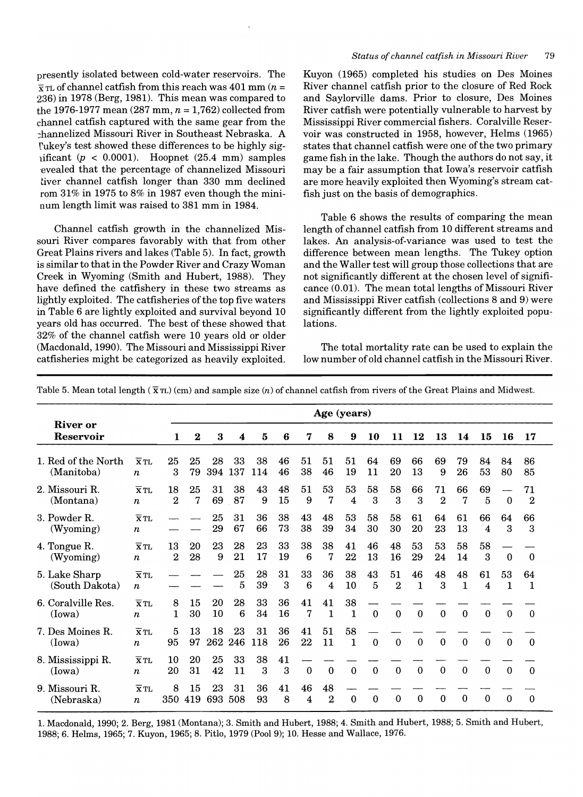presently isolated between cold-water reservoirs. The  $\bar{x}$  TL of channel catfish from this reach was 401 mm (*n* = 236) in 1978 (Berg, 1981). This mean was compared to the 1976-1977 mean  $(287 \text{ mm}, n = 1,762)$  collected from channel catfish captured with the same gear from the :hannelized Missouri River in Southeast Nebraska. A fukey's test showed these differences to be highly sigificant  $(p < 0.0001)$ . Hoopnet  $(25.4 \text{ mm})$  samples evealed that the percentage of channelized Missouri tiver channel catfish longer than 330 mm declined rom  $31\%$  in  $1975$  to  $8\%$  in  $1987$  even though the mininum length limit was raised to 381 mm in 1984.

Channel catfish growth in the channelized Missouri River compares favorably with that from other Great Plains rivers and lakes (Table 5). In fact, growth is similar to that in the Powder River and Crazy Woman Creek in Wyoming (Smith and Hubert, 1988). They have defined the catfishery in these two streams as lightly exploited. The catfisheries of the top five waters in Table 6 are lightly exploited and survival beyond 10 years old has occurred. The best of these showed that 32% of the channel catfish were 10 years old or older (Macdonald, 1990). The Missouri and Mississippi River catfisheries might be categorized as heavily exploited.

# *Status of channel catfish in Missouri River 79*

Kuyon (1965) completed his studies on Des Moines River channel catfish prior to the closure of Red Rock and Saylorville dams. Prior to closure, Des Moines River catfish were potentially vulnerable to harvest by Mississippi River commercial fishers. Coralville Reservoir was constructed in 1958, however, Helms (1965) states that channel catfish were one of the two primary game fish in the lake. Though the authors do not say, it may be a fair assumption that Iowa's reservoir catfish are more heavily exploited then Wyoming's stream catfish just on the basis of demographics.

Table 6 shows the results of comparing the mean length of channel catfish from 10 different streams and lakes. An analysis-of-variance was used to test the difference between mean lengths. The Tukey option and the Waller test will group those collections that are not significantly different at the chosen level of significance (0.01). The mean total lengths of Missouri River and Mississippi River catfish (collections 8 and 9) were significantly different from the lightly exploited populations.

The total mortality rate can be used to explain the low number of old channel catfish in the Missouri River.

|                                   |                                                | Age (years)            |           |           |           |           |          |                       |                      |                    |          |                      |                    |                      |             |              |             |                        |
|-----------------------------------|------------------------------------------------|------------------------|-----------|-----------|-----------|-----------|----------|-----------------------|----------------------|--------------------|----------|----------------------|--------------------|----------------------|-------------|--------------|-------------|------------------------|
| <b>River or</b><br>Reservoir      |                                                | 1                      | $\bf{2}$  | 3         | 4         | 5         | 6        | 7                     | 8                    | 9                  | 10       | 11                   | 12                 | 13                   | 14          | 15           | 16          | 17                     |
| 1. Red of the North<br>(Manitoba) | $\overline{X}$ TL<br>$\boldsymbol{n}$          | 25<br>3                | 25<br>79  | 28<br>394 | 33<br>137 | 38<br>114 | 46<br>46 | 51<br>38              | 51<br>46             | 51<br>19           | 64<br>11 | 69<br>20             | 66<br>13           | 69<br>9              | 79<br>26    | 84<br>53     | 84<br>80    | 86<br>85               |
| 2. Missouri R.<br>(Montana)       | $\overline{X}$ TL<br>$\boldsymbol{n}$          | 18<br>$\boldsymbol{2}$ | 25<br>7   | 31<br>69  | 38<br>87  | 43<br>9   | 48<br>15 | 51<br>9               | 53<br>7              | 53<br>4            | 58<br>3  | 58<br>3              | 66<br>3            | 71<br>$\overline{2}$ | 66<br>7     | 69<br>5      | $\bf{0}$    | 71<br>$\boldsymbol{2}$ |
| 3. Powder R.<br>(Wyoming)         | $\overline{\mathbf{X}}$ TL<br>$\boldsymbol{n}$ |                        |           | 25<br>29  | 31<br>67  | 36<br>66  | 38<br>73 | 43<br>38              | 48<br>39             | 53<br>34           | 58<br>30 | 58<br>30             | 61<br>20           | 64<br>23             | 61<br>13    | 66<br>4      | 64<br>3     | 66<br>3                |
| 4. Tongue R.<br>(Wyoming)         | $\overline{X}$ TL<br>$\boldsymbol{n}$          | 13<br>$\overline{2}$   | 20<br>28  | 23<br>9   | 28<br>21  | 23<br>17  | 33<br>19 | 38<br>$6\phantom{1}6$ | 38<br>$\overline{7}$ | 41<br>22           | 46<br>13 | 48<br>16             | 53<br>29           | 53<br>24             | 58<br>14    | 58<br>3      | $\mathbf 0$ | $\bf{0}$               |
| 5. Lake Sharp<br>(South Dakota)   | $\overline{\mathbf{x}}$ TL<br>$\boldsymbol{n}$ |                        |           |           | 25<br>5   | 28<br>39  | 31<br>3  | 33<br>6               | 36<br>4              | 38<br>10           | 43<br>5  | 51<br>$\overline{2}$ | 46<br>$\mathbf{1}$ | 48<br>3              | 48<br>1     | 61<br>4      | 53<br>1     | 64<br>$\mathbf{1}$     |
| 6. Coralville Res.<br>(Iowa)      | $\overline{\mathbf{X}}$ TL<br>$\boldsymbol{n}$ | 8<br>1                 | 15<br>30  | 20<br>10  | 28<br>6   | 33<br>34  | 36<br>16 | 41<br>7               | 41<br>$\mathbf 1$    | 38<br>$\mathbf{1}$ | $\Omega$ | $\Omega$             | $\Omega$           | $\Omega$             | $\Omega$    | $\Omega$     | $\Omega$    | $\Omega$               |
| 7. Des Moines R.<br>(Iowa)        | $\overline{\mathbf{x}}$ TL<br>$\boldsymbol{n}$ | 5<br>95                | 13<br>97  | 18<br>262 | 23<br>246 | 31<br>118 | 36<br>26 | 41<br>22              | 51<br>11             | 58<br>$\mathbf{1}$ | $\Omega$ | $\Omega$             | $\Omega$           | $\Omega$             | $\Omega$    | $\mathbf{0}$ | $\theta$    | $\Omega$               |
| 8. Mississippi R.<br>(Iowa)       | $\overline{\mathbf{X}}$ TL<br>$\boldsymbol{n}$ | 10<br>20               | 20<br>31  | 25<br>42  | 33<br>11  | 38<br>3   | 41<br>3  | $\boldsymbol{0}$      | $\mathbf 0$          | $\mathbf{0}$       | $\Omega$ | $\Omega$             | $\mathbf{0}$       | $\Omega$             | $\Omega$    | $\Omega$     | $\Omega$    | $\Omega$               |
| 9. Missouri R.<br>(Nebraska)      | $\overline{\mathbf{x}}$ TL<br>$\boldsymbol{n}$ | 8<br>350               | 15<br>419 | 23<br>693 | 31<br>508 | 36<br>93  | 41<br>8  | 46<br>4               | 48<br>$\overline{2}$ | $\bf{0}$           | $\Omega$ | $\mathbf 0$          | $\theta$           | $\Omega$             | $\mathbf 0$ | $\Omega$     | $\mathbf 0$ | $\Omega$               |

Table 5. Mean total length ( $\bar{x}$ TL) (cm) and sample size (n) of channel catfish from rivers of the Great Plains and Midwest.

1. Macdonald, 1990; 2. Berg, 1981 (Montana); 3. Smith and Hubert, 1988; 4. Smith and Hubert, 1988; 5. Smith and Hubert, 1988; 6. Helms, 1965; 7. Kuyon, 1965; 8. Pitlo, 1979 (Pool 9); 10. Hesse and Wallace, 1976.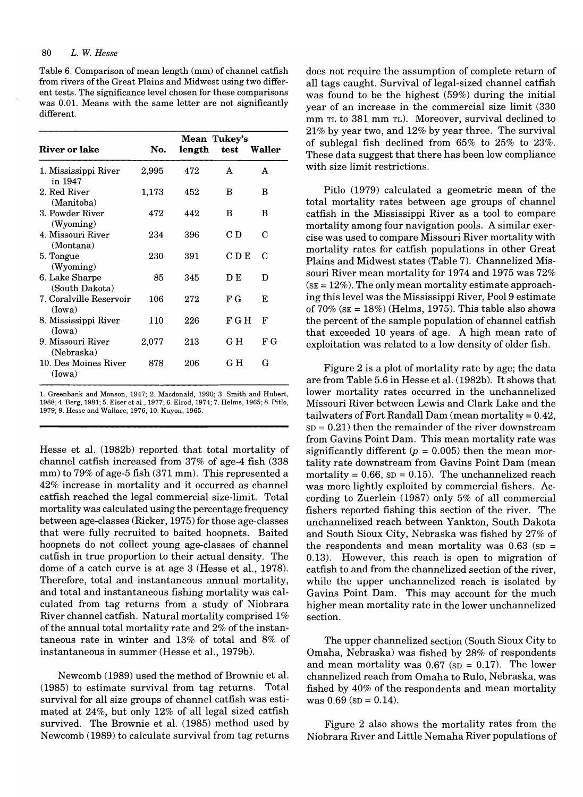Table 6. Comparison of mean length (mm) of channel catfish from rivers of the Great Plains and Midwest using two different tests. The significance level chosen for these comparisons was 0.01. Means with the same letter are not significantly different.

|                                   |       | Mean Tukey's |       |        |
|-----------------------------------|-------|--------------|-------|--------|
| <b>River or lake</b>              | No.   | length       | test  | Waller |
| 1. Mississippi River<br>in 1947   | 2,995 | 472          | A     | A      |
| 2. Red River<br>(Manitoba)        | 1,173 | 452          | в     | B      |
| 3. Powder River<br>(Wyoming)      | 472   | 442          | в     | в      |
| 4. Missouri River<br>(Montana)    | 234   | 396          | СD    | C      |
| 5. Tongue<br>(Wyoming)            | 230   | 391          | C D E | C      |
| 6. Lake Sharpe<br>(South Dakota)  | 85    | 345          | DЕ    | D      |
| 7. Coralville Reservoir<br>(Iowa) | 106   | 272          | F G   | E      |
| 8. Mississippi River<br>(Iowa)    | 110   | 226          | F G H | F      |
| 9. Missouri River<br>(Nebraska)   | 2,077 | 213          | GН    | FG     |
| 10. Des Moines River<br>(Iowa)    | 878   | 206          | G H   | G      |

1. Greenbank and Monson, 1947; 2. Macdonald, 1990; 3. Smith and Hubert, 1988; 4. Berg, 1981; 5. Elser et aI., 1977; 6. Elrod, 1974; 7. Helms, 1965; 8. Pitlo, 1979; 9. Hesse and Wallace, 1976; 10. Kuyon, 1965.

Hesse et al. (1982b) reported that total mortality of channel catfish increased from 37% of age-4 fish (338 mm) to 79% of age-5 fish (371 mm). This represented a 42% increase in mortality and it occurred as channel catfish reached the legal commercial size-limit. Total mortality was calculated using the percentage frequency between age-classes (Ricker, 1975) for those age-classes that were fully recruited to baited hoopnets. Baited hoopnets do not collect young age-classes of channel catfish in true proportion to their actual density. The dome of a catch curve is at age 3 (Hesse et aI., 1978). Therefore, total and instantaneous annual mortality, and total and instantaneous fishing mortality was calculated from tag returns from a study of Niobrara River channel catfish. Natural mortality comprised 1% of the annual total mortality rate and 2% of the instantaneous rate in winter and 13% of total and 8% of instantaneous in summer (Hesse et al., 1979b).

Newcomb (1989) used the method of Brownie et aI. (1985) to estimate survival from tag returns. Total survival for all size groups of channel catfish was estimated at 24%, but only 12% of all legal sized catfish survived. The Brownie et aI. (1985) method used by Newcomb (1989) to calculate survival from tag returns does not require the assumption of complete return of all tags caught. Survival of legal-sized channel catfish was found to be the highest (59%) during the initial year of an increase in the commercial size limit (330 mm TL to 381 mm TL). Moreover, survival declined to 21% by year two, and 12% by year three. The survival of sublegal fish declined from 65% to 25% to 23%. These data suggest that there has been low compliance with size limit restrictions.

Pitlo (1979) calculated a geometric mean of the total mortality rates between age groups of channel catfish in the Mississippi River as a tool to compare mortality among four navigation pools. A similar exercise was used to compare Missouri River mortality with mortality rates for catfish populations in other Great Plains and Midwest states (Table 7). Channelized Missouri River mean mortality for 1974 and 1975 was 72%  $(sE = 12\%)$ . The only mean mortality estimate approaching this level was the Mississippi River, Pool 9 estimate of  $70\%$  ( $SE = 18\%$ ) (Helms, 1975). This table also shows the percent of the sample population of channel catfish that exceeded 10 years of age. A high mean rate of exploitation was related to a low density of older fish.

Figure 2 is a plot of mortality rate by age; the data are from Table 5.6 in Hesse et aI. (1982b). It shows that lower mortality rates occurred in the unchannelized Missouri River between Lewis and Clark Lake and the tailwaters of Fort Randall Dam (mean mortality  $= 0.42$ ,  $SD = 0.21$ ) then the remainder of the river downstream from Gavins Point Dam. This mean mortality rate was significantly different ( $p = 0.005$ ) then the mean mortality rate downstream from Gavins Point Dam (mean mortality =  $0.66$ ,  $SD = 0.15$ ). The unchannelized reach was more lightly exploited by commercial fishers. According to Zuerlein (1987) only 5% of all commercial fishers reported fishing this section of the river. The unchannelized reach between Yankton, South Dakota and South Sioux City, Nebraska was fished by 27% of the respondents and mean mortality was  $0.63$  (sp = 0.13). However, this reach is open to migration of catfish to and from the channelized section of the river, while the upper unchannelized reach is isolated by Gavins Point Dam. This may account for the much higher mean mortality rate in the lower unchannelized section.

The upper channelized section (South Sioux City to Omaha, Nebraska) was fished by 28% of respondents and mean mortality was  $0.67$  (sp = 0.17). The lower channelized reach from Omaha to Rulo, Nebraska, was fished by 40% of the respondents and mean mortality was  $0.69$  (sp =  $0.14$ ).

Figure 2 also shows the mortality rates from the Niobrara River and Little Nemaha River populations of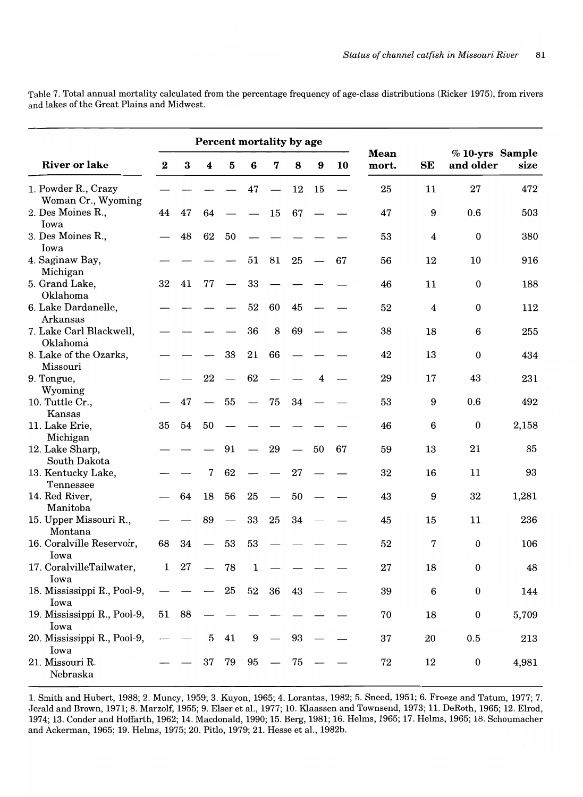|                                                   | Percent mortality by age |          |                  |                          |    |    |          |    |    |                      |                         |                                |          |
|---------------------------------------------------|--------------------------|----------|------------------|--------------------------|----|----|----------|----|----|----------------------|-------------------------|--------------------------------|----------|
| <b>River or lake</b>                              | $\bf{2}$                 | $\bf{3}$ | $\boldsymbol{4}$ | $\bf{5}$                 | 6  | 7  | 8        | 9  | 10 | <b>Mean</b><br>mort. | SE                      | $%10$ -yrs Sample<br>and older | size     |
| 1. Powder R., Crazy<br>Woman Cr., Wyoming         |                          |          |                  |                          | 47 |    | 12       | 15 |    | 25                   | 11                      | 27                             | 472      |
| 2. Des Moines R.,<br>Iowa                         | 44                       | 47       | 64               |                          |    | 15 | 67       |    |    | 47                   | 9                       | 0.6                            | 503      |
| 3. Des Moines R.,<br>Iowa                         |                          | 48       | 62               | 50                       |    |    |          |    |    | 53                   | $\overline{\mathbf{4}}$ | $\bf{0}$                       | 380      |
| 4. Saginaw Bay,<br>Michigan                       |                          |          |                  |                          | 51 | 81 | 25       |    | 67 | 56                   | 12                      | 10                             | 916      |
| 5. Grand Lake,<br>Oklahoma                        | 32                       | 41       | 77               |                          | 33 |    |          |    |    | 46                   | 11                      | $\bf{0}$                       | 188      |
| 6. Lake Dardanelle,<br>Arkansas                   |                          |          |                  |                          | 52 | 60 | 45       |    |    | 52                   | $\overline{\mathbf{4}}$ | $\mathbf 0$                    | 112      |
| 7. Lake Carl Blackwell,<br>Oklahoma               |                          |          |                  |                          | 36 | 8  | 69       |    |    | 38                   | 18                      | $\boldsymbol{6}$               | 255      |
| 8. Lake of the Ozarks,<br>Missouri                |                          |          |                  | 38                       | 21 | 66 |          |    |    | 42                   | 13                      | $\mathbf 0$                    | 434      |
| 9. Tongue,<br>Wyoming                             |                          |          | 22               | $\overline{\phantom{0}}$ | 62 |    |          | 4  |    | 29                   | 17                      | 43                             | 231      |
| 10. Tuttle Cr.,<br>Kansas                         |                          | 47       |                  | 55                       |    | 75 | 34       |    |    | 53                   | 9                       | 0.6                            | 492      |
| 11. Lake Erie,<br>Michigan                        | 35                       | 54       | 50               |                          |    |    |          |    |    | 46                   | 6                       | $\boldsymbol{0}$               | 2,158    |
| 12. Lake Sharp,<br>South Dakota                   |                          |          |                  | 91                       |    | 29 |          | 50 | 67 | 59                   | 13                      | 21<br>11                       | 85<br>93 |
| 13. Kentucky Lake,<br>Tennessee<br>14. Red River, |                          | 64       | 7<br>18          | 62<br>56                 | 25 |    | 27<br>50 |    |    | 32<br>43             | 16<br>9                 | 32                             | 1,281    |
| Manitoba<br>15. Upper Missouri R.,                |                          |          | 89               |                          | 33 | 25 | 34       |    |    | 45                   | 15                      | 11                             | 236      |
| Montana<br>16. Coralville Reservoir,              | 68                       | 34       |                  | 53                       | 53 |    |          |    |    | 52                   | 7                       | $\mathbf 0$                    | 106      |
| Iowa<br>17. CoralvilleTailwater,                  | 1                        | 27       |                  | 78                       | 1  |    |          |    |    | 27                   | 18                      | $\mathbf 0$                    | 48       |
| Iowa<br>18. Mississippi R., Pool-9,               |                          |          |                  | 25                       | 52 | 36 | 43       |    |    | 39                   | 6                       | $\bf{0}$                       | 144      |
| Iowa<br>19. Mississippi R., Pool-9,               | 51                       | - 88     |                  |                          |    |    |          |    |    | 70                   | 18                      | $\bf{0}$                       | 5,709    |
| Iowa<br>20. Mississippi R., Pool-9,               |                          |          | 5                | 41                       | 9  |    | 93       |    |    | 37                   | 20                      | 0.5                            | 213      |
| Iowa<br>21. Missouri R.<br>Nebraska               |                          |          | 37               | 79                       | 95 |    | 75       |    |    | 72                   | 12                      | $\boldsymbol{0}$               | 4,981    |

Table 7. Total annual mortality calculated from the percentage frequency of age-class distributions (Ricker 1975), from rivers and lakes of the Great Plains and Midwest.

1. Smith and Hubert, 1988; 2. Muncy, 1959; 3. Kuyon, 1965; 4. Lorantas, 1982; 5. Sneed, 1951; 6. Freeze and Tatum, 1977; 7. Jerald and Brown, 1971; 8. Marzolf, 1955; 9. Elser et aI., 1977; 10. Klaassen and Townsend, 1973; 11. DeRoth, 1965; 12. Elrod, 1974; 13. Conder and Hoffarth, 1962; 14. Macdonald, 1990; 15. Berg, 1981; 16. Helms, 1965; 17. Helms, 1965; 18. Schoumacher and Ackerman, 1965; 19. Helms, 1975; 20. Pitlo, 1979; 21. Hesse et aI., 1982b.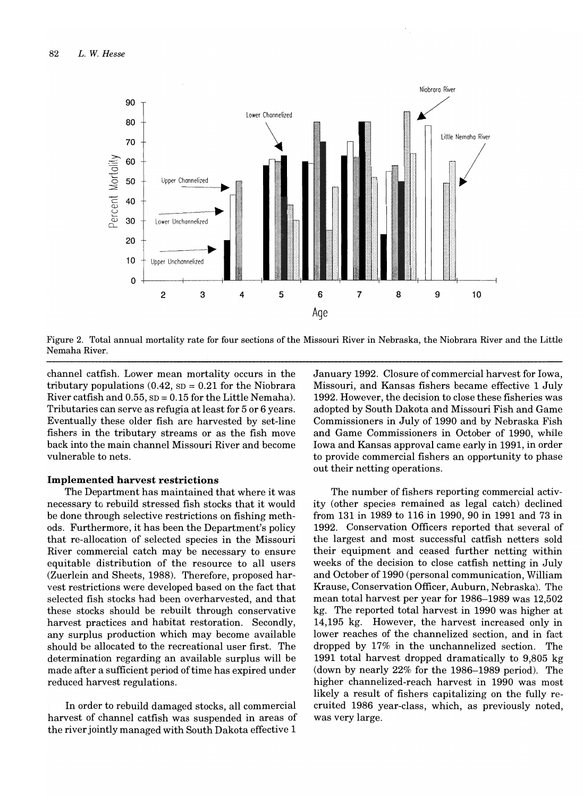

Figure 2. Total annual mortality rate for four sections of the Missouri River in Nebraska, the Niobrara River and the Little Nemaha River.

channel catfish. Lower mean mortality occurs in the tributary populations  $(0.42, SD = 0.21$  for the Niobrara River catfish and  $0.55$ ,  $SD = 0.15$  for the Little Nemaha). Tributaries can serve as refugia at least for 5 or 6 years. Eventually these older fish are harvested by set-line fishers in the tributary streams or as the fish move back into the main channel Missouri River and become vulnerable to nets.

# **Implemented harvest restrictions**

The Department has maintained that where it was necessary to rebuild stressed fish stocks that it would be done through selective restrictions on fishing methods. Furthermore, it has been the Department's policy that re-allocation of selected species in the Missouri River commercial catch may be necessary to ensure equitable distribution of the resource to all users (Zuerlein and Sheets, 1988). Therefore, proposed harvest restrictions were developed based on the fact that selected fish stocks had been overharvested, and that these stocks should be rebuilt through conservative harvest practices and habitat restoration. Secondly, any surplus production which may become available should be allocated to the recreational user first. The determination regarding an available surplus will be made after a sufficient period of time has expired under reduced harvest regulations.

**In** order to rebuild damaged stocks, all commercial harvest of channel catfish was suspended in areas of the river jointly managed with South Dakota effective 1

January 1992. Closure of commercial harvest for Iowa, Missouri, and Kansas fishers became effective 1 July 1992. However, the decision to close these fisheries was adopted by South Dakota and Missouri Fish and Game Commissioners in July of 1990 and by Nebraska Fish and Game Commissioners in October of 1990, while Iowa and Kansas approval came early in 1991, in order to provide commercial fishers an opportunity to phase out their netting operations.

The number of fishers reporting commercial activity (other species remained as legal catch) declined from 131 in 1989 to 116 in 1990, 90 in 1991 and 73 in 1992. Conservation Officers reported that several of the largest and most successful catfish netters sold their equipment and ceased further netting within weeks of the decision to close catfish netting in July and October of 1990 (personal communication, William Krause, Conservation Officer, Auburn, Nebraska). The mean total harvest per year for 1986-1989 was 12,502 kg. The reported total harvest in 1990 was higher at 14,195 kg. However, the harvest increased only in lower reaches of the channelized section, and in fact dropped by 17% in the unchannelized section. The 1991 total harvest dropped dramatically to 9,805 kg (down by nearly 22% for the 1986-1989 period). The higher channelized-reach harvest in 1990 was most likely a result of fishers capitalizing on the fully recruited 1986 year-class, which, as previously noted, was very large.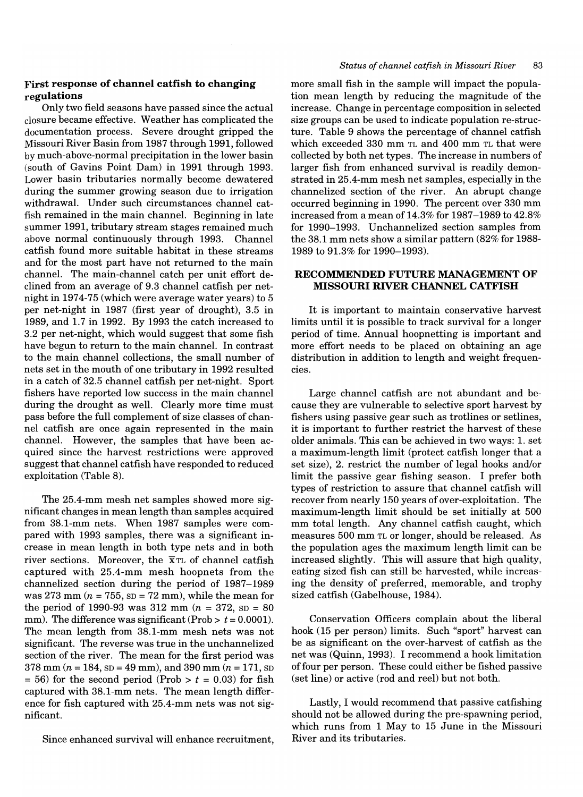# **First response of channel catfish to changing regulations**

Only two field seasons have passed since the actual closure became effective. Weather has complicated the documentation process. Severe drought gripped the Missouri River Basin from 1987 through 1991, followed by much-above-normal precipitation in the lower basin (south of Gavins Point Dam) in 1991 through 1993. Lower basin tributaries normally become dewatered during the summer growing season due to irrigation withdrawal. Under such circumstances channel catfish remained in the main channel. Beginning in late summer 1991, tributary stream stages remained much above normal continuously through 1993. Channel catfish found more suitable habitat in these streams and for the most part have not returned to the main channel. The main-channel catch per unit effort declined from an average of 9.3 channel catfish per netnight in 1974-75 (which were average water years) to 5 per net-night in 1987 (first year of drought), 3.5 in 1989, and 1.7 in 1992. By 1993 the catch increased to 3.2 per net-night, which would suggest that some fish have begun to return to the main channel. In contrast to the main channel collections, the small number of nets set in the mouth of one tributary in 1992 resulted in a catch of 32.5 channel catfish per net-night. Sport fishers have reported low success in the main channel during the drought as well. Clearly more time must pass before the full complement of size classes of channel catfish are once again represented in the main channel. However, the samples that have been acquired since the harvest restrictions were approved suggest that channel catfish have responded to reduced exploitation (Table 8).

The 25.4-mm mesh net samples showed more significant changes in mean length than samples acquired from 38.1-mm nets. When 1987 samples were compared with 1993 samples, there was a significant increase in mean length in both type nets and in both river sections. Moreover, the  $\bar{x}$ TL of channel catfish captured with 25.4-mm mesh hoopnets from the channelized section during the period of 1987-1989 was 273 mm  $(n = 755, SD = 72$  mm), while the mean for the period of 1990-93 was  $312 \text{ mm}$   $(n = 372, \text{ SD} = 80)$ mm). The difference was significant (Prob  $> t = 0.0001$ ). The mean length from 38.1-mm mesh nets was not significant. The reverse was true in the unchannelized section of the river. The mean for the first period was 378 mm ( $n = 184$ ,  $SD = 49$  mm), and 390 mm ( $n = 171$ ,  $SD$  $= 56$ ) for the second period (Prob  $> t = 0.03$ ) for fish captured with 38.1-mm nets. The mean length difference for fish captured with 25.4-mm nets was not significant.

Since enhanced survival will enhance recruitment,

more small fish in the sample will impact the population mean length by reducing the magnitude of the increase. Change in percentage composition in selected size groups can be used to indicate population re-structure. Table 9 shows the percentage of channel catfish which exceeded 330 mm TL and 400 mm TL that were collected by both net types. The increase in numbers of larger fish from enhanced survival is readily demonstrated in 25.4-mm mesh net samples, especially in the channelized section of the river. An abrupt change occurred beginning in 1990. The percent over 330 mm increased from a mean of  $14.3\%$  for  $1987-1989$  to  $42.8\%$ for 1990-1993. Unchannelized section samples from the 38.1 mm nets show a similar pattern (82% for 1988- 1989 to 91.3% for 1990-1993).

# RECOMMENDED FUTURE MANAGEMENT OF **MISSOURI RIVER CHANNEL CATFISH**

It is important to maintain conservative harvest limits until it is possible to track survival for a longer period of time. Annual hoopnetting is important and more effort needs to be placed on obtaining an age distribution in addition to length and weight frequencies.

Large channel catfish are not abundant and because they are vulnerable to selective sport harvest by fishers using passive gear such as trotlines or setlines, it is important to further restrict the harvest of these older animals. This can be achieved in two ways: 1. set a maximum-length limit (protect catfish longer that a set size), 2. restrict the number of legal hooks and/or limit the passive gear fishing season. I prefer both types of restriction to assure that channel catfish will recover from nearly 150 years of over-exploitation. The maximum-length limit should be set initially at 500 mm total length. Any channel catfish caught, which measures 500 mm TL or longer, should be released. As the population ages the maximum length limit can be increased slightly. This will assure that high quality, eating sized fish can still be harvested, while increasing the density of preferred, memorable, and trophy sized catfish (Gabelhouse, 1984).

Conservation Officers complain about the liberal hook (15 per person) limits. Such "sport" harvest can be as significant on the over-harvest of catfish as the net was (Quinn, 1993). I recommend a hook limitation off our per person. These could either be fished passive (set line) or active (rod and reel) but not both.

Lastly, I would recommend that passive catfishing should not be allowed during the pre-spawning period, which runs from 1 May to 15 June in the Missouri River and its tributaries.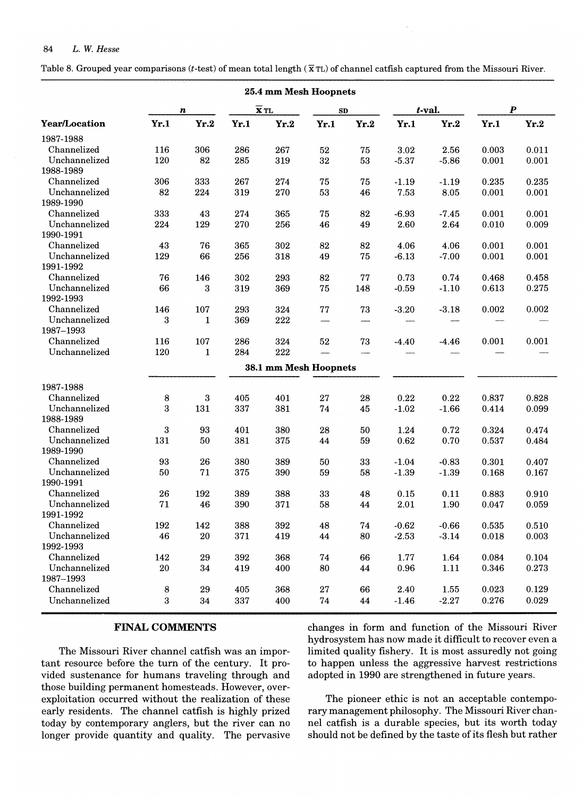Table 8. Grouped year comparisons (t-test) of mean total length ( $\bar{x}$  TL) of channel catfish captured from the Missouri River.

| 25.4 mm Mesh Hoopnets |            |                  |      |                            |            |      |         |         |                  |       |  |
|-----------------------|------------|------------------|------|----------------------------|------------|------|---------|---------|------------------|-------|--|
|                       |            | n                |      | $\overline{\mathbf{x}}$ TL | SD         |      |         | t-val.  | $\boldsymbol{P}$ |       |  |
| <b>Year/Location</b>  | Yr.1       | Yr.2             | Yr.1 | Yr.2                       | Yr.1       | Yr.2 | Yr.1    | Yr.2    | Yr.1             | Yr.2  |  |
| 1987-1988             |            |                  |      |                            |            |      |         |         |                  |       |  |
| Channelized           | 116        | 306              | 286  | 267                        | 52         | 75   | 3.02    | 2.56    | 0.003            | 0.011 |  |
| Unchannelized         | 120        | 82               | 285  | 319                        | 32         | 53   | $-5.37$ | $-5.86$ | 0.001            | 0.001 |  |
| 1988-1989             |            |                  |      |                            |            |      |         |         |                  |       |  |
| Channelized           | 306        | 333              | 267  | 274                        | 75         | 75   | $-1.19$ | $-1.19$ | 0.235            | 0.235 |  |
| Unchannelized         | 82         | 224              | 319  | 270                        | 53         | 46   | 7.53    | 8.05    | 0.001            | 0.001 |  |
| 1989-1990             |            |                  |      |                            |            |      |         |         |                  |       |  |
| Channelized           | 333        | 43               | 274  | 365                        | 75         | 82   | $-6.93$ | $-7.45$ | 0.001            | 0.001 |  |
| Unchannelized         | 224        | 129              | 270  | 256                        | 46         | 49   | 2.60    | 2.64    | 0.010            | 0.009 |  |
| 1990-1991             |            |                  |      |                            |            |      |         |         |                  |       |  |
| Channelized           | 43         | 76               | 365  | 302                        | 82         | 82   | 4.06    | 4.06    | 0.001            | 0.001 |  |
| Unchannelized         | 129        | 66               | 256  | 318                        | 49         | 75   | $-6.13$ | $-7.00$ | 0.001            | 0.001 |  |
| 1991-1992             |            |                  |      |                            |            |      |         |         |                  |       |  |
| Channelized           | 76         | 146              | 302  | 293                        | 82         | 77   | 0.73    | 0.74    | 0.468            | 0.458 |  |
| Unchannelized         | 66         | 3                | 319  | 369                        | 75         | 148  | $-0.59$ | $-1.10$ | 0.613            | 0.275 |  |
| 1992-1993             |            |                  |      |                            |            |      |         |         |                  |       |  |
| Channelized           | 146        | 107              | 293  | 324                        | ${\bf 77}$ | 73   | $-3.20$ | $-3.18$ | 0.002            | 0.002 |  |
| Unchannelized         | 3          | $\mathbf{1}$     | 369  | $222\,$                    |            | -    |         |         |                  |       |  |
| 1987-1993             |            |                  |      |                            |            |      |         |         |                  |       |  |
| Channelized           | 116        | 107              | 286  | 324                        | 52         | 73   | $-4.40$ | $-4.46$ | 0.001            | 0.001 |  |
| Unchannelized         | 120        | $\mathbf{1}$     | 284  | 222                        |            |      |         |         |                  |       |  |
|                       |            |                  |      | 38.1 mm Mesh Hoopnets      |            |      |         |         |                  |       |  |
|                       |            |                  |      |                            |            |      |         |         |                  |       |  |
| 1987-1988             |            |                  |      |                            |            |      |         |         |                  |       |  |
| Channelized           | 8          | $\boldsymbol{3}$ | 405  | 401                        | 27         | 28   | 0.22    | 0.22    | 0.837            | 0.828 |  |
| Unchannelized         | 3          | 131              | 337  | 381                        | 74         | 45   | $-1.02$ | $-1.66$ | 0.414            | 0.099 |  |
| 1988-1989             |            |                  |      |                            |            |      |         |         |                  |       |  |
| Channelized           | 3          | 93               | 401  | 380                        | 28         | 50   | 1.24    | 0.72    | 0.324            | 0.474 |  |
| Unchannelized         | 131        | 50               | 381  | 375                        | 44         | 59   | 0.62    | 0.70    | 0.537            | 0.484 |  |
| 1989-1990             |            |                  |      |                            |            |      |         |         |                  |       |  |
| Channelized           | 93         | 26               | 380  | 389                        | 50         | 33   | $-1.04$ | $-0.83$ | 0.301            | 0.407 |  |
| Unchannelized         | 50         | 71               | 375  | 390                        | 59         | 58   | $-1.39$ | $-1.39$ | 0.168            | 0.167 |  |
| 1990-1991             |            |                  |      |                            |            |      |         |         |                  |       |  |
| Channelized           | 26         | 192              | 389  | 388                        | 33         | 48   | 0.15    | 0.11    | 0.883            | 0.910 |  |
| Unchannelized         | 71         | 46               | 390  | 371                        | 58         | 44   | 2.01    | 1.90    | 0.047            | 0.059 |  |
| 1991-1992             |            |                  |      |                            |            |      |         |         |                  |       |  |
| Channelized           | 192        | 142              | 388  | 392                        | 48         | 74   | $-0.62$ | $-0.66$ | 0.535            | 0.510 |  |
| Unchannelized         | 46         | ${\bf 20}$       | 371  | 419                        | 44         | 80   | $-2.53$ | $-3.14$ | 0.018            | 0.003 |  |
| 1992-1993             |            |                  |      |                            |            |      |         |         |                  |       |  |
| Channelized           | 142        | 29               | 392  | 368                        | 74         | 66   | 1.77    | 1.64    | 0.084            | 0.104 |  |
| Unchannelized         | ${\bf 20}$ | 34               | 419  | 400                        | 80         | 44   | 0.96    | 1.11    | 0.346            | 0.273 |  |
| 1987-1993             |            |                  |      |                            |            |      |         |         |                  |       |  |
| Channelized           | 8          | 29               | 405  | 368                        | 27         | 66   | 2.40    | 1.55    | 0.023            | 0.129 |  |
| Unchannelized         | 3          | 34               | 337  | 400                        | ${\bf 74}$ | 44   | $-1.46$ | $-2.27$ | 0.276            | 0.029 |  |

tant resource before the turn of the century. It pro- to happen unless the aggressive harvest restrictions vided sustenance for humans traveling through and adopted in 1990 are strengthened in future years. those building permanent homesteads. However, overexploitation occurred without the realization of these The pioneer ethic is not an acceptable contempoearly residents. The channel catfish is highly prized rary management philosophy. The Missouri River chantoday by contemporary anglers, but the river can no nel catfish is a durable species, but its worth today longer provide quantity and quality. The pervasive should not be defined by the taste of its flesh but rather

FINAL COMMENTS changes in form and function of the Missouri River hydrosystem has now made it difficult to recover even a The Missouri River channel catfish was an impor- limited quality fishery. It is most assuredly not going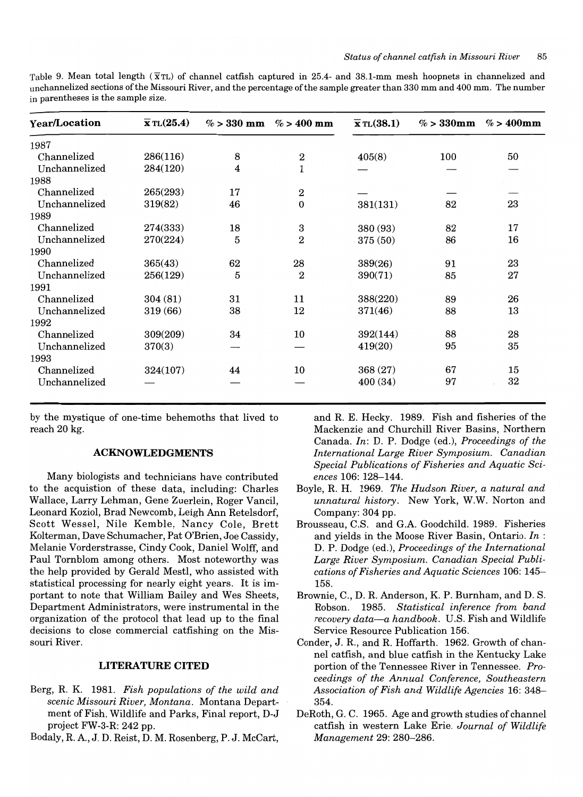Table 9. Mean total length  $(\bar{x}TL)$  of channel catfish captured in 25.4- and 38.1-mm mesh hoopnets in channelized and unchannelized sections of the Missouri River, and the percentage ofthe sample greater than 330 mm and 400 mm. The number in parentheses is the sample size.

| Year/Location | $\overline{\mathbf{x}}$ TL $(25.4)$ |    | % > 330 mm % > 400 mm | $\overline{\mathbf{x}}$ TL $(38.1)$ | $\% > 330$ mm | $\%$ > 400mm |
|---------------|-------------------------------------|----|-----------------------|-------------------------------------|---------------|--------------|
| 1987          |                                     |    |                       |                                     |               |              |
| Channelized   | 286(116)                            | 8  | $\boldsymbol{2}$      | 405(8)                              | 100           | 50           |
| Unchannelized | 284(120)                            | 4  | 1                     |                                     |               |              |
| 1988          |                                     |    |                       |                                     |               |              |
| Channelized   | 265(293)                            | 17 | $\,2$                 |                                     |               |              |
| Unchannelized | 319(82)                             | 46 | $\boldsymbol{0}$      | 381(131)                            | 82            | 23           |
| 1989          |                                     |    |                       |                                     |               |              |
| Channelized   | 274(333)                            | 18 | 3                     | 380 (93)                            | 82            | 17           |
| Unchannelized | 270(224)                            | 5  | $\overline{2}$        | 375 (50)                            | 86            | 16           |
| 1990          |                                     |    |                       |                                     |               |              |
| Channelized   | 365(43)                             | 62 | 28                    | 389(26)                             | 91            | 23           |
| Unchannelized | 256(129)                            | 5  | $\overline{2}$        | 390(71)                             | 85            | 27           |
| 1991          |                                     |    |                       |                                     |               |              |
| Channelized   | 304(81)                             | 31 | 11                    | 388(220)                            | 89            | 26           |
| Unchannelized | 319 (66)                            | 38 | 12                    | 371(46)                             | 88            | 13           |
| 1992          |                                     |    |                       |                                     |               |              |
| Channelized   | 309(209)                            | 34 | 10                    | 392(144)                            | 88            | 28           |
| Unchannelized | 370(3)                              |    |                       | 419(20)                             | 95            | 35           |
| 1993          |                                     |    |                       |                                     |               |              |
| Channelized   | 324(107)                            | 44 | 10                    | 368 (27)                            | 67            | 15           |
| Unchannelized |                                     |    |                       | 400 (34)                            | 97            | 32           |

by the mystique of one-time behemoths that lived to reach 20 kg.

# ACKNOWLEDGMENTS

Many biologists and technicians have contributed to the acquistion of these data, including: Charles Wallace, Larry Lehman, Gene Zuerlein, Roger Vancil, Leonard Koziol, Brad Newcomb, Leigh Ann Retelsdorf, Scott Wessel, Nile Kemble, Nancy Cole, Brett Kolterman, Dave Schumacher, Pat O'Brien, Joe Cassidy, Melanie Vorderstrasse, Cindy Cook, Daniel Wolff, and Paul Tornblom among others. Most noteworthy was the help provided by Gerald Mestl, who assisted with statistical processing for nearly eight years. It is important to note that William Bailey and Wes Sheets, Department Administrators, were instrumental in the organization of the protocol that lead up to the final decisions to close commercial catfishing on the Missouri River.

# LITERATURE CITED

- Berg, R. K. 1981. *Fish populations of the wild and scenic Missouri River, Montana.* Montana Department of Fish, Wildlife and Parks, Final report, D-J project FW-3-R: 242 pp.
- Bodaly, R A., J. D. Reist, D. M. Rosenberg, P. J. McCart,

and R. E. Hecky. 1989. Fish and fisheries of the Mackenzie and Churchill River Basins, Northern Canada. *In:* D. P. Dodge (ed.), *Proceedings of the International Large River Symposium. Canadian Special Publications of Fisheries and Aquatic Sciences* 106: 128-144.

- Boyle, R. H. 1969. *The Hudson River, a natural and unnatural history.* New York, W.W. Norton and Company: 304 pp.
- Brousseau, C.B. and G.A. Goodchild. 1989. Fisheries and yields in the Moose River Basin, Ontario. *In* : D. P. Dodge (ed.), *Proceedings of the International Large River Symposium. Canadian Special Publications of Fisheries and Aquatic Sciences* 106: 145- 158.
- Brownie, C., D. R. Anderson, K. P. Burnham, and D. S. Robson. 1985. *Statistical inference from band recovery data-a handbook.* U.S. Fish and Wildlife Service Resource Publication 156.
- Conder, J. R, and R. Hoffarth. 1962. Growth of channel catfish, and blue catfish in the Kentucky Lake portion of the Tennessee River in Tennessee. *Proceedings of the Annual Conference, Southeastern Association of Fish and Wildlife Agencies* 16: 348- 354.
- DeRoth, G. C. 1965. Age and growth studies of channel catfish in western Lake Erie. *Journal of Wildlife Management* 29: 280-286.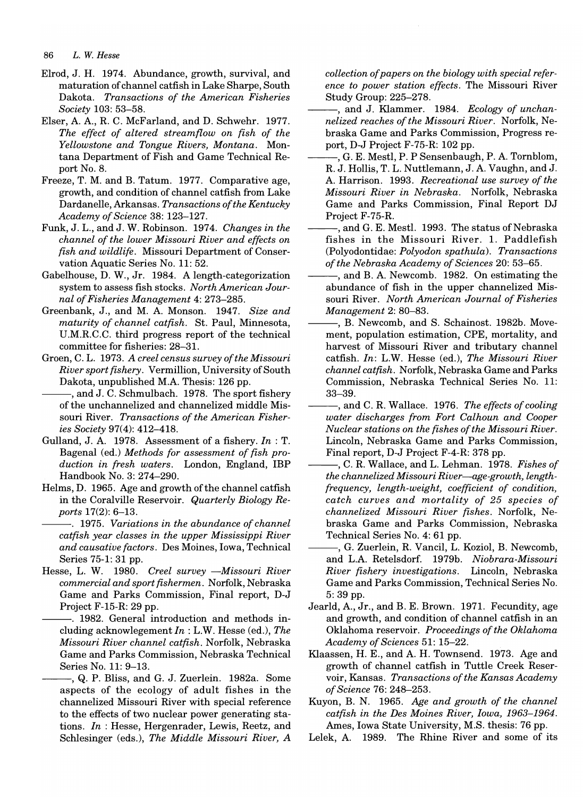- Elrod, J. H. 1974. Abundance, growth, survival, and maturation of channel catfish in Lake Sharpe, South Dakota. *Transactions of the American Fisheries Society* 103: 53-58.
- Elser, A. A., R. C. McFarland, and D. Schwehr. 1977. *The effect of altered streamflow on fish of the Yellowstone and Tongue Rivers, Montana.* Montana Department of Fish and Game Technical Report No. 8.
- Freeze, T. M. and B. Tatum. 1977. Comparative age, growth, and condition of channel catfish from Lake Dardanelle, Arkansas. *Transactions of the Kentucky Academy of Science* 38: 123-127.
- Funk, J. L., and J. W. Robinson. 1974. *Changes in the channel of the lower Missouri River and effects on fish and wildlife.* Missouri Department of Conservation Aquatic Series No. 11: 52.
- Gabelhouse, D. W., Jr. 1984. A length-categorization system to assess fish stocks. *North American Journal of Fisheries Management* 4: 273-285.
- Greenbank, J., and M. A Monson. 1947. *Size and maturity of channel catfish.* St. Paul, Minnesota, U.M.R.C.C. third progress report of the technical committee for fisheries: 28-31.
- Groen, C. L. 1973. *A creel census survey of the Missouri River sport fishery.* Vermillion, University of South Dakota, unpublished M.A. Thesis: 126 pp.
- --, and J. C. Schmulbach. 1978. The sport fishery of the unchannelized and channelized middle Missouri River. *Transactions of the American Fisheries Society* 97(4): 412-418.
- Gulland, J. A. 1978. Assessment of a fishery. *In* : T. Bagenal (ed.) *Methods for assessment of fish production in fresh waters.* London, England, IBP Handbook No.3: 274-290.
- Helms, D. 1965. Age and growth of the channel catfish in the Coralville Reservoir. *Quarterly Biology Reports* 17(2): 6-13.
- ---. 1975. *Variations in the abundance of channel catfish year classes in the upper Mississippi River and causative factors.* Des Moines, Iowa, Technical Series 75-1: 31 pp.
- Hesse, L. W. 1980. *Creel survey -Missouri River commercial and sport fishermen.* Norfolk, Nebraska Game and Parks Commission, Final report, D-J Project F-15-R: 29 pp.
	- -. 1982. General introduction and methods including acknowlegement *In* : L.W. Hesse (ed.), *The Missouri River channel catfish.* Norfolk, Nebraska Game and Parks Commission, Nebraska Technical Series No. 11: 9-13.
	- -, Q. P. Bliss, and G. J. Zuerlein. 1982a. Some aspects of the ecology of adult fishes in the channelized Missouri River with special reference to the effects of two nuclear power generating stations. *In* : Hesse, Hergenrader, Lewis, Reetz, and Schlesinger (eds.), *The Middle Missouri River, A*

*collection of papers on the biology with special reference to power station effects.* The Missouri River Study Group: 225-278.

- ---, and J. Klammer. 1984. *Ecology of unchannelized reaches of the Missouri River.* Norfolk, Nebraska Game and Parks Commission, Progress report, D-J Project F-75-R: 102 pp.
- G. E. Mestl, P. P Sensenbaugh, P. A. Tornblom, R. J. Hollis, T. L. Nuttlemann, J. A. Vaughn, and J. A Harrison. 1993. *Recreational use survey of the Missouri River in Nebraska.* Norfolk, Nebraska Game and Parks Commission, Final Report DJ Project F-75-R.
- ., and G. E. Mestl. 1993. The status of Nebraska fishes in the Missouri River. 1. Paddlefish (Polyodontidae: *Polyodon spathula). Transactions of the Nebraska Academy of Sciences* 20: 53-65.
- -, and B. A. Newcomb. 1982. On estimating the abundance of fish in the upper channelized Missouri River. *North American Journal of Fisheries Management* 2: 80-83.
- $-$ , B. Newcomb, and S. Schainost. 1982b. Movement, population estimation, CPE, mortality, and harvest of Missouri River and tributary channel catfish. *In:* L.W. Hesse (ed.), *The Missouri River channel catfish.* Norfolk, Nebraska Game and Parks Commission, Nebraska Technical Series No. 11: 33-39.
- $-$ , and C. R. Wallace. 1976. *The effects of cooling water discharges from Fort Calhoun and Cooper Nuclear stations on the fishes of the Missouri River.*  Lincoln, Nebraska Game and Parks Commission, Final report, D-J Project F-4-R: 378 pp.
- ---, C. R. Wallace, and L. Lehman. 1978. *Fishes of the channelized Missouri River-age-growth, lengthfrequency, length-weight, coefficient of condition, catch curves and mortality of* 25 *species of channelized Missouri River fishes.* Norfolk, Nebraska Game and Parks Commission, Nebraska Technical Series No.4: 61 pp.
- -, G. Zuerlein, R. Vancil, L. Koziol, B. Newcomb, and L.A Retelsdorf. 1979b. *Niobrara-Missouri River fishery investigations.* Lincoln, Nebraska Game and Parks Commission, Technical Series No. 5: 39 pp.
- Jearld, A, Jr., and B. E. Brown. 1971. Fecundity, age and growth, and condition of channel catfish in an Oklahoma reservoir. *Proceedings of the Oklahoma Academy of Sciences* 51: 15-22.
- Klaassen, H. E., and A. H. Townsend. 1973. Age and growth of channel catfish in Tuttle Creek Reservoir, Kansas. *Transactions of the Kansas Academy of Science* 76: 248-253.
- Kuyon, B. N. 1965. *Age and growth of the channel catfish in the Des Moines River, Iowa, 1963-1964.*  Ames, Iowa State University, M.S. thesis: 76 pp.
- Lelek, A. 1989. The Rhine River and some of its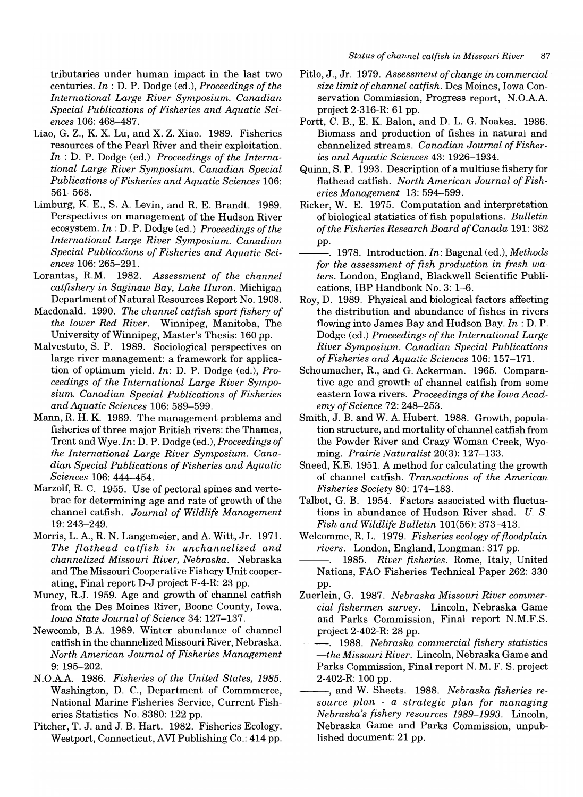tributaries under human impact in the last two centuries. *In* : D. P. Dodge (ed.), *Proceedings of the International Large River Symposium. Canadian Special Publications of Fisheries and Aquatic Sciences* 106: 468-487.

- Liao, G. Z., K X. Lu, and X. Z. Xiao. 1989. Fisheries resources of the Pearl River and their exploitation. *In* : D. P. Dodge (ed.) *Proceedings of the International Large River Symposium. Canadian Special Publications of Fisheries and Aquatic Sciences 106:*  561-568.
- Limburg, K. E., S. A. Levin, and R. E. Brandt. 1989. Perspectives on management of the Hudson River ecosystem. *In:* D. P. Dodge (ed.) *Proceedings of the International Large River Symposium. Canadian Special Publications of Fisheries and Aquatic Sciences* 106: 265-291.
- Lorantas, RM. 1982. *Assessment of the channel catfishery in Saginaw Bay, Lake Huron.* Michigan Department of Natural Resources Report No. 1908.
- Macdonald. 1990. *The channel catfish sport fishery of the lower Red River.* Winnipeg, Manitoba, The University of Winnipeg, Master's Thesis: 160 pp.
- Malvestuto, S. P. 1989. Sociological perspectives on large river management: a framework for application of optimum yield. *In:* D. P. Dodge (ed.), *Proceedings of the International Large River Symposium. Canadian Special Publications of Fisheries and Aquatic Sciences* 106: 589-599.
- Mann, R. H. K. 1989. The management problems and fisheries of three major British rivers: the Thames, Trent and Wye. *In:* D. P. Dodge (ed.), *Proceedings of the International Large River Symposium. Canadian Special Publications of Fisheries and Aquatic Sciences* 106: 444-454.
- Marzolf, R. C. 1955. Use of pectoral spines and vertebrae for determining age and rate of growth of the channel catfish. *Journal of Wildlife Management*  19: 243-249.
- Morris, L. A., R. N. Langemeier, and A. Witt, Jr. 1971. *The flathead catfish in unchannelized and channelized Missouri River, Nebraska.* Nebraska and The Missouri Cooperative Fishery Unit cooperating, Final report D-J project F-4-R: 23 pp.
- Muncy, RJ. 1959. Age and growth of channel catfish from the Des Moines River, Boone County, Iowa. *Iowa State Journal of Science* 34: 127-137.
- Newcomb, B.A 1989. Winter abundance of channel catfish in the channelized Missouri River, Nebraska. *North American Journal of Fisheries Management*  9: 195-202.
- N.O.AA 1986. *Fisheries of the United States, 1985.*  Washington, D. C., Department of Commmerce, National Marine Fisheries Service, Current Fisheries Statistics No. 8380: 122 pp.
- Pitcher, T. J. and J. B. Hart. 1982. Fisheries Ecology. Westport, Connecticut, AVI Publishing Co.: 414 pp.
- Pitlo, J., Jr. 1979. *Assessment of change in commercial size limit of channel catfish.* Des Moines, Iowa Conservation Commission, Progress report, N.O.AA project 2-316-R: 61 pp.
- Portt, C. B., E. K. Balon, and D. L. G. Noakes. 1986. Biomass and production of fishes in natural and channelized streams. *Canadian Journal of Fisheries and Aquatic Sciences* 43: 1926-1934.
- Quinn, S. P. 1993. Description of a multiuse fishery for flathead catfish. *North American Journal of Fisheries Management* 13: 594-599.
- Ricker, W. E. 1975. Computation and interpretation of biological statistics of fish populations. *Bulletin of the Fisheries Research Board of Canada* 191: 382 pp.
- --. 1978. Introduction. *In:* Bagenal (ed.), *Methods for the assessment of fish production in fresh waters.* London, England, Blackwell Scientific Publications, IBP Handbook No.3: 1-6.
- Roy, D. 1989. Physical and biological factors affecting the distribution and abundance of fishes in rivers flowing into James Bay and Hudson Bay. *In* : D. P. Dodge (ed.) *Proceedings of the International Large River Symposium. Canadian Special Publications of Fisheries and Aquatic Sciences* 106: 157-171.
- Schoumacher, R, and G. Ackerman. 1965. Comparative age and growth of channel catfish from some eastern Iowa rivers. *Proceedings of the Iowa Academy of Science* 72: 248-253.
- Smith, J. B. and W. A Hubert. 1988. Growth, population structure, and mortality of channel catfish from the Powder River and Crazy Woman Creek, Wyoming. *Prairie Naturalist* 20(3): 127-133.
- Sneed, KE. 1951. A method for calculating the growth of channel catfish. *Transactions of the American Fisheries Society* 80: 174-183.
- Talbot, G. B. 1954. Factors associated with fluctuations in abundance of Hudson River shad. *U. S. Fish and Wildlife Bulletin* 101(56): 373-413.
- Welcomme, R. L. 1979. Fisheries ecology of floodplain *rivers.* London, England, Longman: 317 pp.
- *1985. River fisheries.* Rome, Italy, United Nations, FAO Fisheries Technical Paper 262: 330 pp.
- Zuerlein, G. 1987. *Nebraska Missouri River commercial fishermen survey.* Lincoln, Nebraska Game and Parks Commission, Final report N.M.F.S. project 2-402-R: 28 pp.
	- ---. 1988. *Nebraska commercial fishery statistics -the Missouri River.* Lincoln, Nebraska Game and Parks Commission, Final report N. M. F. S. project 2-402-R: 100 pp.
- ---, and W. Sheets. 1988. *Nebraska fisheries resource plan* - *a strategic plan for managing Nebraska's fishery resources* 1989-1993. Lincoln, Nebraska Game and Parks Commission, unpublished document: 21 pp.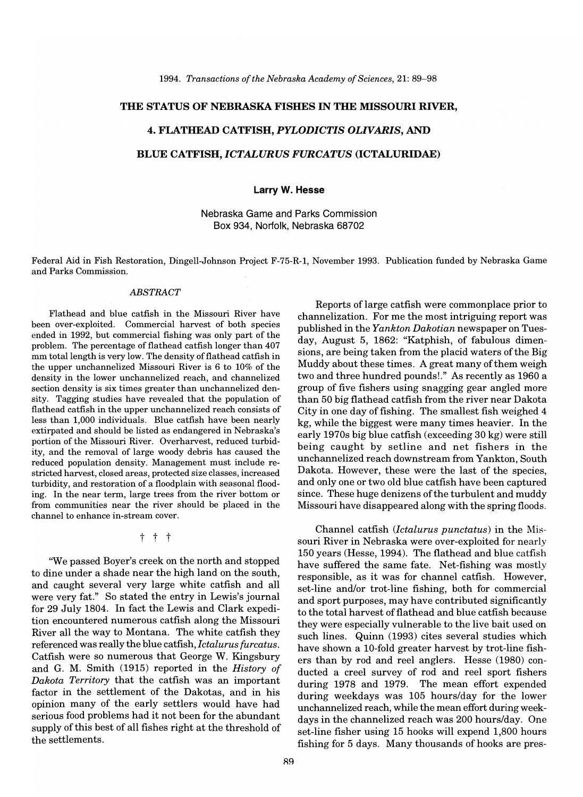# THE STATUS OF NEBRASKA FISHES IN THE MISSOURI RIVER,

# 4. FLATHEAD CATFISH, *PYLODICTIS OLIVARIS,* AND

# BLUE CATFISH, *ICTALURUS FURCATUS* (ICTALURIDAE)

# Larry W. Hesse

# Nebraska Game and Parks Commission Box 934, Norfolk, Nebraska 68702

Federal Aid in Fish Restoration, Dingell-Johnson Project F-75-R-1, November 1993. Publication funded by Nebraska Game and Parks Commission.

# *ABSTRACT*

Flathead and blue catfish in the Missouri River have been over-exploited. Commercial harvest of both species ended in 1992, but commercial fishing was only part of the problem. The percentage of flathead catfish longer than 407 mm total length is very low. The density of flathead catfish in the upper unchannelized Missouri River is 6 to 10% of the density in the lower unchannelized reach, and channelized section density is six times greater than unchannelized density. Tagging studies have revealed that the population of flathead catfish in the upper unchannelized reach consists of less than 1,000 individuals. Blue catfish have been nearly extirpated and should be listed as endangered in Nebraska's portion of the Missouri River. Overharvest, reduced turbidity, and the removal of large woody debris has caused the reduced population density. Management must include restricted harvest, closed areas, protected size classes, increased turbidity, and restoration of a floodplain with seasonal flooding. In the near term, large trees from the river bottom or from communities near the river should be placed in the channel to enhance in-stream cover.

t t t

"We passed Boyer's creek on the north and stopped to dine under a shade near the high land on the south, and caught several very large white catfish and all were very fat." So stated the entry in Lewis's journal for 29 July 1804. In fact the Lewis and Clark expedition encountered numerous catfish along the Missouri River all the way to Montana. The white catfish they referenced was really the blue catfish, *Ictalurus furcatus.*  Catfish were so numerous that George W. Kingsbury and G. M. Smith (1915) reported in the *History of Dakota Territory* that the catfish was an important factor in the settlement of the Dakotas, and in his opinion many of the early settlers would have had serious food problems had it not been for the abundant supply of this best of all fishes right at the threshold of the settlements.

Reports of large catfish were commonplace prior to channelization. For me the most intriguing report was published in the *Yankton Dakotian* newspaper on Tuesday, August 5, 1862: "Katphish, of fabulous dimensions, are being taken from the placid waters of the Big Muddy about these times. A great many of them weigh two and three hundred pounds!." As recently as 1960 a group of five fishers using snagging gear angled more than 50 big flathead catfish from the river near Dakota City in one day of fishing. The smallest fish weighed 4 kg, while the biggest were many times heavier. In the early 1970s big blue catfish (exceeding 30 kg) were still being caught by setline and net fishers in the unchannelized reach downstream from Yankton, South Dakota. However, these were the last of the species, and only one or two old blue catfish have been captured since. These huge denizens of the turbulent and muddy Missouri have disappeared along with the spring floods.

Channel catfish *(Ictalurus punctatus)* in the Missouri River in Nebraska were over-exploited for nearly 150 years (Hesse, 1994). The flathead and blue catfish have suffered the same fate. Net-fishing was mostly responsible, as it was for channel catfish. However, set-line and/or trot-line fishing, both for commercial and sport purposes, may have contributed significantly to the total harvest of flathead and blue catfish because they were especially vulnerable to the live bait used on such lines. Quinn (1993) cites several studies which have shown a 10-fold greater harvest by trot-line fishers than by rod and reel anglers. Hesse (1980) conducted a creel survey of rod and reel sport fishers during 1978 and 1979. The mean effort expended during weekdays was 105 hours/day for the lower unchannelized reach, while the mean effort during weekdays in the channelized reach was 200 hours/day. One set-line fisher using 15 hooks will expend 1,800 hours fishing for 5 days. Many thousands of hooks are pres-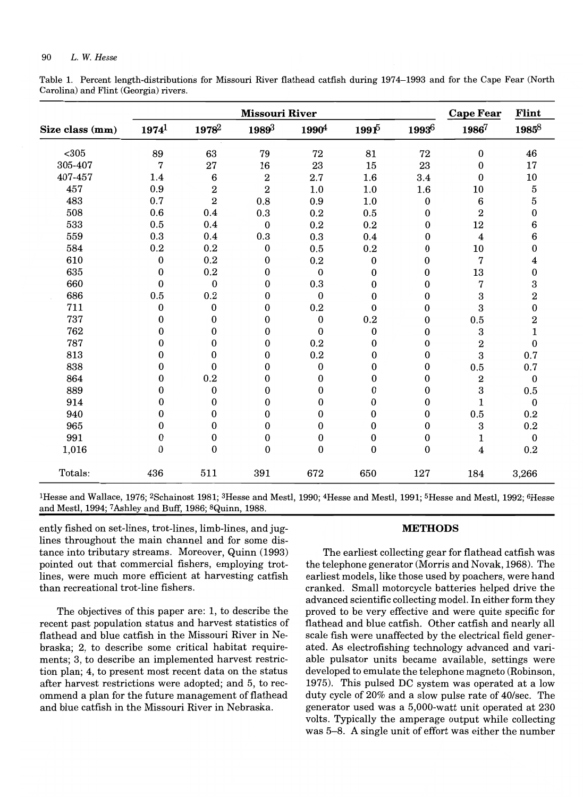Table 1. Percent length-distributions for Missouri River flathead catfish during 1974-1993 and for the Cape Fear (North Carolina) and Flint (Georgia) rivers.

|                 |                  | <b>Cape Fear</b>  | Flint                   |                   |                     |                  |                         |                                      |
|-----------------|------------------|-------------------|-------------------------|-------------------|---------------------|------------------|-------------------------|--------------------------------------|
| Size class (mm) | $1974^1$         | 1978 <sup>2</sup> | 19893                   | 1990 <sup>4</sup> | $1991$ <sup>5</sup> | 19936            | 19867                   | $1985^8$                             |
| $305$           | 89               | 63                | 79                      | 72                | 81                  | 72               | $\boldsymbol{0}$        | 46                                   |
| 305-407         | 7                | 27                | 16                      | 23                | 15                  | 23               | $\boldsymbol{0}$        | 17                                   |
| 407-457         | 1.4              | 6                 | $\overline{\mathbf{2}}$ | 2.7               | 1.6                 | 3.4              | $\bf{0}$                | 10                                   |
| 457             | 0.9              | $\overline{2}$    | $\bf 2$                 | 1.0               | 1.0                 | 1.6              | 10                      | $\overline{5}$                       |
| 483             | 0.7              | $\overline{2}$    | 0.8                     | 0.9               | 1.0                 | $\boldsymbol{0}$ | 6                       | 5                                    |
| 508             | 0.6              | 0.4               | 0.3                     | 0.2               | 0.5                 | $\boldsymbol{0}$ | $\overline{\mathbf{2}}$ | $\pmb{0}$                            |
| 533             | 0.5              | 0.4               | $\boldsymbol{0}$        | 0.2               | 0.2                 | $\boldsymbol{0}$ | 12                      | 6                                    |
| 559             | 0.3              | 0.4               | 0.3                     | 0.3               | 0.4                 | 0                | $\boldsymbol{4}$        | 6                                    |
| 584             | 0.2              | 0.2               | $\boldsymbol{0}$        | 0.5               | 0.2                 | $\bf{0}$         | 10                      | $\pmb{0}$                            |
| 610             | $\boldsymbol{0}$ | 0.2               | 0                       | 0.2               | 0                   | 0                | 7                       | $\boldsymbol{4}$                     |
| 635             | 0                | 0.2               | 0                       | $\boldsymbol{0}$  | 0                   | 0                | 13                      | $\boldsymbol{0}$                     |
| 660             | $\boldsymbol{0}$ | $\boldsymbol{0}$  | 0                       | 0.3               | 0                   | 0                | $\overline{7}$          | 3                                    |
| 686             | 0.5              | 0.2               | 0                       | $\mathbf{0}$      | $\mathbf{0}$        | 0                | 3                       | $\overline{\mathbf{2}}$              |
| 711             | $\bf{0}$         | $\bf{0}$          | 0                       | 0.2               | $\bf{0}$            | $\bf{0}$         | 3                       | $\boldsymbol{0}$                     |
| 737             | $\mathbf{0}$     | $\mathbf{0}$      | 0                       | $\boldsymbol{0}$  | 0.2                 | 0                | 0.5                     |                                      |
| 762             | $\bf{0}$         | $\boldsymbol{0}$  | 0                       | $\boldsymbol{0}$  | $\boldsymbol{0}$    | $\bf{0}$         | 3                       | $\begin{array}{c} 2 \ 1 \end{array}$ |
| 787             | $\boldsymbol{0}$ | $\boldsymbol{0}$  | 0                       | 0.2               | $\mathbf{0}$        | $\boldsymbol{0}$ | $\overline{\mathbf{2}}$ | $\boldsymbol{0}$                     |
| 813             | $\bf{0}$         | $\bf{0}$          | $\bf{0}$                | 0.2               | $\boldsymbol{0}$    | $\boldsymbol{0}$ | 3                       | 0.7                                  |
| 838             | $\mathbf{0}$     | $\mathbf{0}$      | 0                       | 0                 | 0                   | $\boldsymbol{0}$ | $0.5\,$                 | 0.7                                  |
| 864             | $\theta$         | 0.2               | $\bf{0}$                | $\mathbf{0}$      | $\Omega$            | $\bf{0}$         | $\boldsymbol{2}$        | $\boldsymbol{0}$                     |
| 889             | 0                | 0                 | $\mathbf{0}$            | 0                 | 0                   | $\boldsymbol{0}$ | 3                       | $0.5\,$                              |
| 914             | $\overline{0}$   | $\bf{0}$          | $\bf{0}$                | $\boldsymbol{0}$  | 0                   | $\boldsymbol{0}$ | $\mathbf{1}$            | $\boldsymbol{0}$                     |
| 940             | 0                | $\mathbf{0}$      | $\boldsymbol{0}$        | $\boldsymbol{0}$  | 0                   | $\boldsymbol{0}$ | $0.5\,$                 | 0.2                                  |
| 965             | $\Omega$         | $\bf{0}$          | $\boldsymbol{0}$        | $\bf{0}$          | 0                   | 0                | 3                       | 0.2                                  |
| 991             | $\bf{0}$         | 0                 | $\boldsymbol{0}$        | $\boldsymbol{0}$  | 0                   | $\boldsymbol{0}$ | $\mathbf 1$             | $\boldsymbol{0}$                     |
| 1,016           | $\boldsymbol{0}$ | $\mathbf{0}$      | $\mathbf{0}$            | $\boldsymbol{0}$  | $\boldsymbol{0}$    | $\bf{0}$         | $\boldsymbol{4}$        | 0.2                                  |
| Totals:         | 436              | 511               | 391                     | 672               | 650                 | 127              | 184                     | 3,266                                |

IHesse and Wallace, 1976; 2Schainost 1981; 3Hesse and Mestl, 1990; 4Hesse and Mestl, 1991; 5Hesse and Mestl, 1992; 6Hesse and Mestl, 1994; 7 Ashley and Buff, 1986; 8Quinn, 1988.

ently fished on set-lines, trot-lines, limb-lines, and jug- METHODS lines throughout the main channel and for some distance into tributary streams. Moreover, Quinn (1993) The earliest collecting gear for flathead catfish was pointed out that commercial fishers, employing trot-<br>the telephone generator (Morris and Novak, 1968). The lines, were much more efficient at harvesting catfish earliest models, like those used by poachers, were hand than recreational trot-line fishers. cranked. Small motorcycle batteries helped drive the

recent past population status and harvest statistics of flathead and blue catfish. Other catfish and nearly all flathead and blue catfish in the Missouri River in Ne- scale fish were unaffected by the electrical field generbraska; 2, to describe some critical habitat require- ated. As electrofishing technology advanced and variments; 3, to describe an implemented harvest restric- able pulsator units became available, settings were tion plan; 4, to present most recent data on the status developed to emulate the telephone magneto (Robinson, after harvest restrictions were adopted; and 5, to rec- 1975). This pulsed DC system was operated at a low ommend a plan for the future management of flathead duty cycle of 20% and a slow pulse rate of 40/sec. The and blue catfish in the Missouri River in Nebraska. generator used was a 5,000-watt unit operated at 230

advanced scientific collecting model. In either form they The objectives of this paper are: 1, to describe the proved to be very effective and were quite specific for volts. Typically the amperage output while collecting was 5-8. A single unit of effort was either the number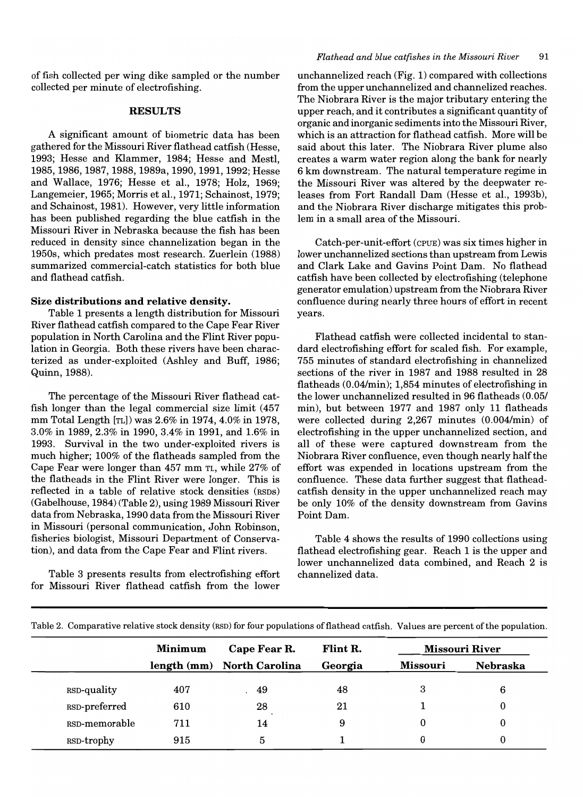of fish collected per wing dike sampled or the number collected per minute of electrofishing.

# **RESULTS**

A significant amount of biometric data has been gathered for the Missouri River flathead catfish (Hesse, 1993; Hesse and Klammer, 1984; Hesse and Mestl, 1985, 1986, 1987, 1988, 1989a, 1990, 1991, 1992; Hesse and Wallace, 1976; Hesse et aI., 1978; Holz, 1969; Langemeier, 1965; Morris et aI., 1971; Schainost, 1979; and Schainost, 1981). However, very little information has been published regarding the blue catfish in the Missouri River in Nebraska because the fish has been reduced in density since channelization began in the 1950s, which predates most research. Zuerlein (1988) summarized commercial-catch statistics for both blue and flathead catfish.

## **Size distributions and relative density.**

Table 1 presents a length distribution for Missouri River flathead catfish compared to the Cape Fear River population in North Carolina and the Flint River population in Georgia. Both these rivers have been characterized as under-exploited (Ashley and Buff, 1986; Quinn, 1988).

The percentage of the Missouri River flathead catfish longer than the legal commercial size limit (457 mm Total Length [TL]) was 2.6% in 1974, 4.0% in 1978, 3.0% in 1989, 2.3% in 1990, 3.4% in 1991, and 1.6% in 1993. Survival in the two under-exploited rivers is much higher; 100% of the flatheads sampled from the Cape Fear were longer than 457 mm TL, while 27% of the flatheads in the Flint River were longer. This is reflected in a table of relative stock densities (RSDS) (Gabelhouse, 1984) (Table 2), using 1989 Missouri River data from Nebraska, 1990 data from the Missouri River in Missouri (personal communication, John Robinson, fisheries biologist, Missouri Department of Conservation), and data from the Cape Fear and Flint rivers.

Table 3 presents results from electrofishing effort for Missouri River flathead catfish from the lower

unchannelized reach (Fig. 1) compared with collections from the upper unchannelized and channelized reaches. The Niobrara River is the major tributary entering the upper reach, and it contributes a significant quantity of organic and inorganic sediments into the Missouri River, which is an attraction for flathead catfish. More will be said about this later. The Niobrara River plume also creates a warm water region along the bank for nearly 6 km downstream. The natural temperature regime in the Missouri River was altered by the deepwater releases from Fort Randall Dam (Hesse et aI., 1993b), and the Niobrara River discharge mitigates this problem in a small area of the Missouri.

Catch-per-unit-effort (CPUE) was six times higher in lower unchannelized sections than upstream from Lewis and Clark Lake and Gavins Point Dam. No flathead catfish have been collected by electrofishing (telephone generator emulation) upstream from the Niobrara River confluence during nearly three hours of effort in recent years.

Flathead catfish were collected incidental to standard electrofishing effort for scaled fish. For example, 755 minutes of standard electrofishing in channelized sections of the river in 1987 and 1988 resulted in 28 flatheads (0.04/min); 1,854 minutes of electrofishing in the lower unchannelized resulted in 96 flatheads (0.05/ min), but between 1977 and 1987 only 11 flatheads were collected during 2,267 minutes (0.004/min) of electrofishing in the upper unchannelized section, and all of these were captured downstream from the Niobrara River confluence, even though nearly half the effort was expended in locations upstream from the confluence. These data further suggest that flatheadcatfish density in the upper unchannelized reach may be only 10% of the density downstream from Gavins Point Dam.

Table 4 shows the results of 1990 collections using flathead electrofishing gear. Reach 1 is the upper and lower unchannelized data combined, and Reach 2 is channelized data.

|               | Minimum | Cape Fear R.               | Flint R. |          | <b>Missouri River</b> |
|---------------|---------|----------------------------|----------|----------|-----------------------|
|               |         | length (mm) North Carolina | Georgia  | Missouri | <b>Nebraska</b>       |
| RSD-quality   | 407     | 49                         | 48       | 3        | 6                     |
| RSD-preferred | 610     | 28                         | 21       |          |                       |
| RSD-memorable | 711     | 14                         | 9        | 0        | 0                     |
| RSD-trophy    | 915     | 5                          |          | 0        | 0                     |

Table 2. Comparative relative stock density (RSD) for four populations of flathead catfish. Values are percent of the population.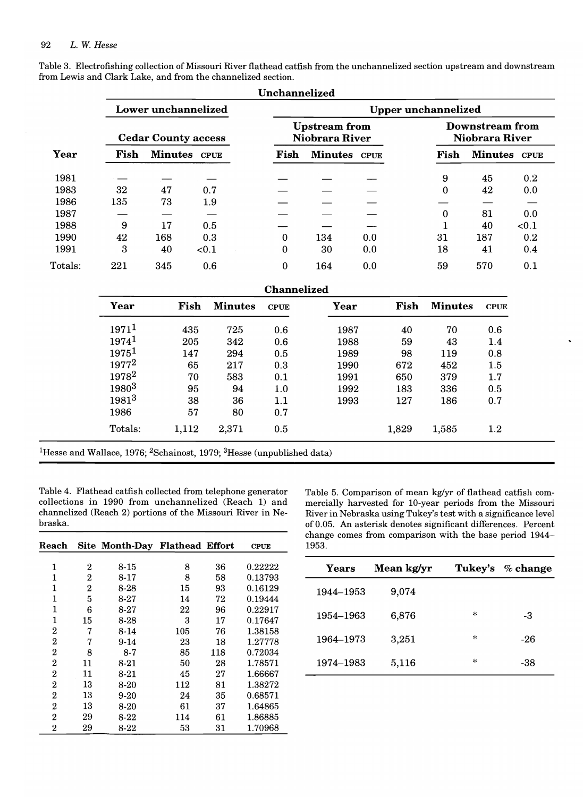|         |      |                            |          | Unchannelized              |                                        |     |      |                                   |              |  |  |  |  |
|---------|------|----------------------------|----------|----------------------------|----------------------------------------|-----|------|-----------------------------------|--------------|--|--|--|--|
|         |      | Lower unchannelized        |          | <b>Upper unchannelized</b> |                                        |     |      |                                   |              |  |  |  |  |
|         |      | <b>Cedar County access</b> |          |                            | <b>Upstream</b> from<br>Niobrara River |     |      | Downstream from<br>Niobrara River |              |  |  |  |  |
| Year    | Fish | Minutes CPUE               |          | Fish                       | Minutes CPUE                           |     | Fish |                                   | Minutes CPUE |  |  |  |  |
| 1981    |      |                            |          |                            |                                        |     | 9    | 45                                | 0.2          |  |  |  |  |
| 1983    | 32   | 47                         | 0.7      |                            |                                        |     | 0    | 42                                | 0.0          |  |  |  |  |
| 1986    | 135  | 73                         | 1.9      |                            |                                        |     |      |                                   |              |  |  |  |  |
| 1987    |      |                            |          |                            |                                        |     | 0    | 81                                | 0.0          |  |  |  |  |
| 1988    | 9    | 17                         | 0.5      |                            |                                        |     |      | 40                                | < 0.1        |  |  |  |  |
| 1990    | 42   | 168                        | 0.3      | 0                          | 134                                    | 0.0 | 31   | 187                               | 0.2          |  |  |  |  |
| 1991    | 3    | 40                         | ${<}0.1$ | 0                          | 30                                     | 0.0 | 18   | 41                                | 0.4          |  |  |  |  |
| Totals: | 221  | 345                        | 0.6      | 0                          | 164                                    | 0.0 | 59   | 570                               | 0.1          |  |  |  |  |

Table 3. Electrofishing collection of Missouri River flathead catfish from the unchannelized section upstream and downstream from Lewis and Clark Lake, and from the channelized section.

| Year     | Fish  | <b>Minutes</b> | <b>CPUE</b> | Year | Fish  | <b>Minutes</b> | <b>CPUE</b> |
|----------|-------|----------------|-------------|------|-------|----------------|-------------|
| $1971^1$ | 435   | 725            | 0.6         | 1987 | 40    | 70             | 0.6         |
| $1974^1$ | 205   | 342            | 0.6         | 1988 | 59    | 43             | 1.4         |
| $1975^1$ | 147   | 294            | 0.5         | 1989 | 98    | 119            | 0.8         |
| $1977^2$ | 65    | 217            | 0.3         | 1990 | 672   | 452            | 1.5         |
| $1978^2$ | 70    | 583            | 0.1         | 1991 | 650   | 379            | 1.7         |
| 19803    | 95    | 94             | 1.0         | 1992 | 183   | 336            | 0.5         |
| $1981^3$ | 38    | 36             | 1.1         | 1993 | 127   | 186            | 0.7         |
| 1986     | 57    | 80             | 0.7         |      |       |                |             |
| Totals:  | 1,112 | 2,371          | 0.5         |      | 1,829 | 1,585          | $1.2\,$     |

<sup>1</sup>Hesse and Wallace, 1976; <sup>2</sup>Schainost, 1979; <sup>3</sup>Hesse (unpublished data)

Table 4. Flathead catfish collected from telephone generator Table 5. Comparison of mean kg/yr of flathead catfish comcollections in 1990 from unchannelized (Reach 1) and mercially harvested for 10-year periods from the Missouri channelized (Reach 2) portions of the Missouri River in Ne-<br>River in Nebraska using Tukey's test with a significance level

| Reach            |                | Site Month-Day Flathead Effort |     |     | <b>CPUE</b> | 1953.        | endige comes from comparison when the sase period to |         |          |
|------------------|----------------|--------------------------------|-----|-----|-------------|--------------|------------------------------------------------------|---------|----------|
|                  | $\overline{2}$ | $8 - 15$                       | 8   | 36  | 0.22222     | <b>Years</b> | Mean kg/yr                                           | Tukey's | $%$ chan |
|                  | $\mathbf{2}$   | $8 - 17$                       | 8   | 58  | 0.13793     |              |                                                      |         |          |
|                  | $\overline{2}$ | 8-28                           | 15  | 93  | 0.16129     | 1944-1953    | 9,074                                                |         |          |
|                  | 5              | $8 - 27$                       | 14  | 72  | 0.19444     |              |                                                      |         |          |
|                  | 6              | $8 - 27$                       | 22  | 96  | 0.22917     |              |                                                      | $\ast$  |          |
| 1                | 15             | $8-28$                         | 3   | 17  | 0.17647     | 1954-1963    | 6,876                                                |         | $-3$     |
| $\boldsymbol{2}$ | 7              | $8 - 14$                       | 105 | 76  | 1.38158     |              |                                                      |         |          |
| $\boldsymbol{2}$ | 7              | $9-14$                         | 23  | 18  | 1.27778     | 1964-1973    | 3,251                                                | $\pm$   | $-26$    |
| $\boldsymbol{2}$ | 8              | $8 - 7$                        | 85  | 118 | 0.72034     |              |                                                      |         |          |
| $\boldsymbol{2}$ | 11             | $8 - 21$                       | 50  | 28  | 1.78571     | 1974-1983    | 5,116                                                | $\ast$  | $-38$    |
| $\boldsymbol{2}$ | 11             | $8 - 21$                       | 45  | 27  | 1.66667     |              |                                                      |         |          |
| $\boldsymbol{2}$ | 13             | $8 - 20$                       | 112 | 81  | 1.38272     |              |                                                      |         |          |
| $\boldsymbol{2}$ | 13             | $9 - 20$                       | 24  | 35  | 0.68571     |              |                                                      |         |          |
| $\boldsymbol{2}$ | 13             | $8 - 20$                       | 61  | 37  | 1.64865     |              |                                                      |         |          |
| $\overline{2}$   | 29             | $8 - 22$                       | 114 | 61  | 1.86885     |              |                                                      |         |          |
| $\mathbf{2}$     | 29             | $8-22$                         | 53  | 31  | 1.70968     |              |                                                      |         |          |

braska. **braska. of 0.05.** An asterisk denotes significant differences. Percent change comes from comparison with the base period 1944-

| $\mathbf 2$  | $8 - 15$ | 8   | 36  | 0.22222 | Years     | Mean kg/yr | Tukey's | $\%$ change |
|--------------|----------|-----|-----|---------|-----------|------------|---------|-------------|
| $\mathbf{2}$ | $8 - 17$ | 8   | 58  | 0.13793 |           |            |         |             |
| $\mathbf 2$  | 8-28     | 15  | 93  | 0.16129 | 1944-1953 | 9.074      |         |             |
| 5            | $8-27$   | 14  | 72  | 0.19444 |           |            |         |             |
| 6            | $8 - 27$ | 22  | 96  | 0.22917 |           |            | $\ast$  |             |
| 15           | 8-28     | 3   | 17  | 0.17647 | 1954-1963 | 6,876      |         | -3          |
| 7            | $8 - 14$ | 105 | 76  | 1.38158 |           |            |         |             |
| 7            | $9-14$   | 23  | 18  | 1.27778 | 1964–1973 | 3,251      | $\ast$  | $-26$       |
| 8            | $8 - 7$  | 85  | 118 | 0.72034 |           |            |         |             |
| 11           | $8 - 21$ | 50  | 28  | 1.78571 | 1974-1983 | 5,116      | $\ast$  | $-38$       |
| 11           | $8-21$   | 45  | 27  | 66667   |           |            |         |             |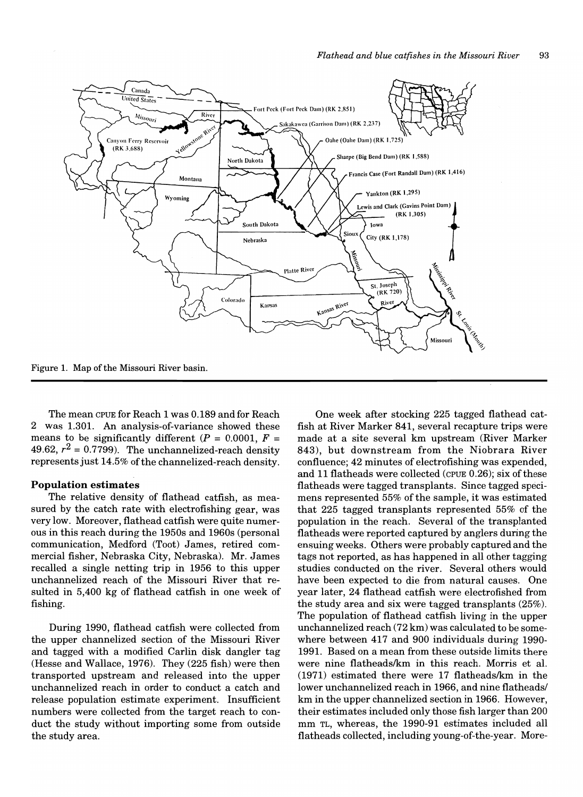

The mean CPUE for Reach 1 was 0.189 and for Reach 2 was 1.301. An analysis-of-variance showed these means to be significantly different ( $P = 0.0001$ ,  $F =$ 49.62,  $r^2$  = 0.7799). The unchannelized-reach density represents just 14.5% of the channelized-reach density.

# **Population estimates**

The relative density of flathead catfish, as measured by the catch rate with electrofishing gear, was very low. Moreover, flathead catfish were quite numerous in this reach during the 1950s and 1960s (personal communication, Medford (Toot) James, retired commercial fisher, Nebraska City, Nebraska). Mr. James recalled a single netting trip in 1956 to this upper unchannelized reach of the Missouri River that resulted in 5,400 kg of flathead catfish in one week of fishing.

During 1990, flathead catfish were collected from the upper channelized section of the Missouri River and tagged with a modified Carlin disk dangler tag (Hesse and Wallace, 1976). They (225 fish) were then transported upstream and released into the upper unchannelized reach in order to conduct a catch and release population estimate experiment. Insufficient numbers were collected from the target reach to conduct the study without importing some from outside the study area.

One week after stocking 225 tagged flathead catfish at River Marker 841, several recapture trips were made at a site several km upstream (River Marker 843), but downstream from the Niobrara River confluence; 42 minutes of electrofishing was expended, and 11 flatheads were collected (CPUE 0.26); six of these flatheads were tagged transplants. Since tagged specimens represented 55% of the sample, it was estimated that 225 tagged transplants represented 55% of the population in the reach. Several of the transplanted flatheads were reported captured by anglers during the ensuing weeks. Others were probably captured and the tags not reported, as has happened in all other tagging studies conducted on the river. Several others would have been expected to die from natural causes. One year later, 24 flathead catfish were electrofished from the study area and six were tagged transplants (25%). The population of flathead catfish living in the upper unchannelized reach (72 km) was calculated to be somewhere between 417 and 900 individuals during 1990- 1991. Based on a mean from these outside limits there were nine flatheads/km in this reach. Morris et al.  $(1971)$  estimated there were 17 flatheads/km in the lower unchannelized reach in 1966, and nine flatheads/ km in the upper channelized section in 1966. However, their estimates included only those fish larger than 200 mm TL, whereas, the 1990-91 estimates included all flatheads collected, including young-of-the-year. More-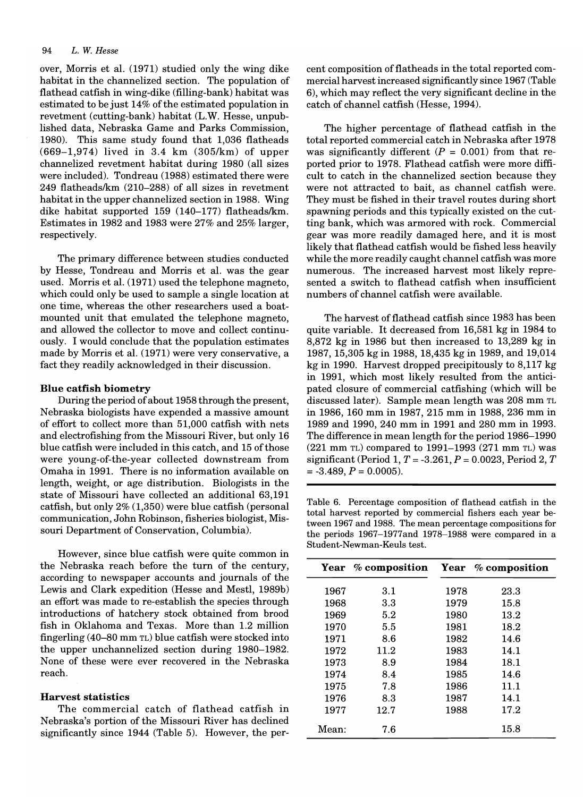over, Morris et al. (1971) studied only the wing dike habitat in the channelized section. The population of flathead catfish in wing-dike (filling-bank) habitat was estimated to be just 14% of the estimated population in revetment (cutting-bank) habitat (L.W. Hesse, unpublished data, Nebraska Game and Parks Commission, 1980). This same study found that 1,036 flatheads  $(669-1,974)$  lived in 3.4 km  $(305/km)$  of upper channelized revetment habitat during 1980 (all sizes were included). Tondreau (1988) estimated there were 249 flatheadslkm (210-288) of all sizes in revetment habitat in the upper channelized section in 1988. Wing dike habitat supported 159 (140-177) flatheads/km. Estimates in 1982 and 1983 were 27% and 25% larger, respectively.

The primary difference between studies conducted by Hesse, Tondreau and Morris et al. was the gear used. Morris et al. (1971) used the telephone magneto, which could only be used to sample a single location at one time, whereas the other researchers used a boatmounted unit that emulated the telephone magneto, and allowed the collector to move and collect continuously. I would conclude that the population estimates made by Morris et al. (1971) were very conservative, a fact they readily acknowledged in their discussion.

# Blue catfish biometry

During the period of about 1958 through the present, Nebraska biologists have expended a massive amount of effort to collect more than 51,000 catfish with nets and electrofishing from the Missouri River, but only 16 blue catfish were included in this catch, and 15 of those were young-of-the-year collected downstream from Omaha in 1991. There is no information available on length, weight, or age distribution. Biologists in the state of Missouri have collected an additional 63,191 catfish, but only 2% (1,350) were blue catfish (personal communication, John Robinson, fisheries biologist, Missouri Department of Conservation, Columbia).

However, since blue catfish were quite common in the Nebraska reach before the tum of the century, according to newspaper accounts and journals of the Lewis and Clark expedition (Hesse and Mestl, 1989b) an effort was made to re-establish the species through introductions of hatchery stock obtained from brood fish in Oklahoma and Texas. More than 1.2 million fingerling (40-80 mm TL) blue catfish were stocked into the upper unchannelized section during 1980-1982. None of these were ever recovered in the Nebraska reach.

# Harvest statistics

The commercial catch of flathead catfish in Nebraska's portion of the Missouri River has declined significantly since 1944 (Table 5). However, the percent composition of flatheads in the total reported commercial harvest increased significantly since 1967 (Table 6), which may reflect the very significant decline in the catch of channel catfish (Hesse, 1994).

The higher percentage of flathead catfish in the total reported commercial catch in Nebraska after 1978 was significantly different  $(P = 0.001)$  from that reported prior to 1978. Flathead catfish were more difficult to catch in the channelized section because they were not attracted to bait, as channel catfish were. They must be fished in their travel routes during short spawning periods and this typically existed on the cutting bank, which was armored with rock. Commercial gear was more readily damaged here, and it is most likely that flathead catfish would be fished less heavily while the more readily caught channel catfish was more numerous. The increased harvest most likely represented a switch to flathead catfish when insufficient numbers of channel catfish were available.

The harvest of flathead catfish since 1983 has been quite variable. It decreased from 16,581 kg in 1984 to 8,872 kg in 1986 but then increased to 13,289 kg in 1987, 15,305 kg in 1988, 18,435 kg in 1989, and 19,014 kg in 1990. Harvest dropped precipitously to 8,117 kg in 1991, which most likely resulted from the anticipated closure of commercial catfishing (which will be discussed later). Sample mean length was 208 mm TL in 1986, 160 mm in 1987, 215 mm in 1988, 236 mm in 1989 and 1990, 240 mm in 1991 and 280 mm in 1993. The difference in mean length for the period 1986-1990 (221 mm TL) compared to 1991-1993 (271 mm TL) was significant (Period 1, *T* = -3.261, *P* = 0.0023, Period 2, *T*   $= -3.489, P = 0.0005$ .

Table 6. Percentage composition of flathead catfish in the total harvest reported by commercial fishers each year between 1967 and 1988. The mean percentage compositions for the periods 1967-1977and 1978-1988 were compared in a Student-Newman-Keuls test.

|       | Year % composition |      | Year % composition |
|-------|--------------------|------|--------------------|
| 1967  | 3.1                | 1978 | 23.3               |
| 1968  | $3.3\,$            | 1979 | 15.8               |
| 1969  | 5.2                | 1980 | 13.2               |
| 1970  | 5.5                | 1981 | 18.2               |
| 1971  | 8.6                | 1982 | 14.6               |
| 1972  | 11.2               | 1983 | 14.1               |
| 1973  | 8.9                | 1984 | 18.1               |
| 1974  | 8.4                | 1985 | 14.6               |
| 1975  | 7.8                | 1986 | 11.1               |
| 1976  | 8.3                | 1987 | 14.1               |
| 1977  | 12.7               | 1988 | 17.2               |
| Mean: | 7.6                |      | 15.8               |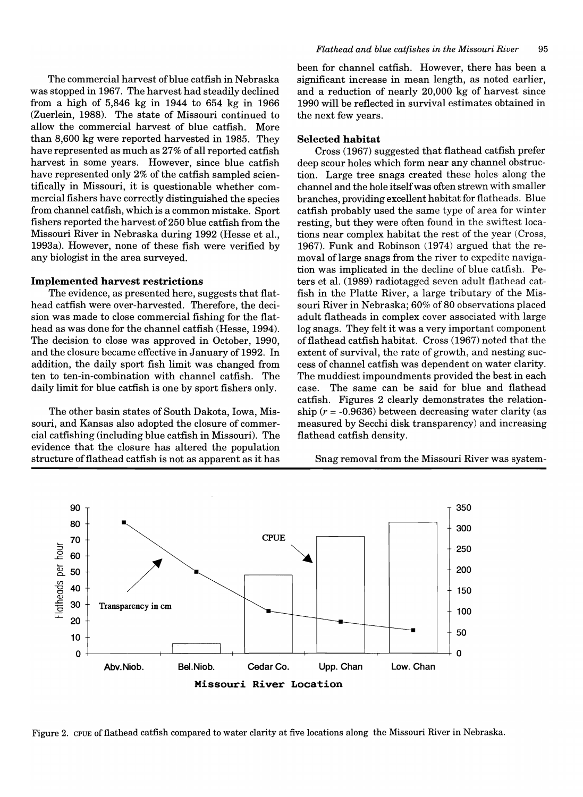The commercial harvest of blue catfish in Nebraska was stopped in 1967. The harvest had steadily declined from a high of 5,846 kg in 1944 to 654 kg in 1966 (Zuerlein, 1988). The state of Missouri continued to allow the commercial harvest of blue catfish. More than 8,600 kg were reported harvested in 1985. They have represented as much as 27% of all reported catfish harvest in some years. However, since blue catfish have represented only  $2\%$  of the catfish sampled scientifically in Missouri, it is questionable whether commercial fishers have correctly distinguished the species from channel catfish, which is a common mistake. Sport fishers reported the harvest of 250 blue catfish from the Missouri River in Nebraska during 1992 (Hesse et aI., 1993a). However, none of these fish were verified by any biologist in the area surveyed.

# Implemented harvest restrictions

The evidence, as presented here, suggests that flathead catfish were over-harvested. Therefore, the decision was made to close commercial fishing for the flathead as was done for the channel catfish (Hesse, 1994). The decision to close was approved in October, 1990, and the closure became effective in January of 1992. In addition, the daily sport fish limit was changed from ten to ten-in-combination with channel catfish. The daily limit for blue catfish is one by sport fishers only.

The other basin states of South Dakota, Iowa, Missouri, and Kansas also adopted the closure of commercial catfishing (including blue catfish in Missouri). The evidence that the closure has altered the population structure of flathead catfish is not as apparent as it has been for channel catfish. However, there has been a significant increase in mean length, as noted earlier, and a reduction of nearly 20,000 kg of harvest since 1990 will be reflected in survival estimates obtained in the next few years.

# Selected habitat

Cross (1967) suggested that flathead catfish prefer deep scour holes which form near any channel obstruction. Large tree snags created these holes along the channel and the hole itself was often strewn with smaller branches, providing excellent habitat for flatheads. Blue catfish probably used the same type of area for winter resting, but they were often found in the swiftest locations near complex habitat the rest of the year (Cross, 1967). Funk and Robinson (1974) argued that the removal oflarge snags from the river to expedite navigation was implicated in the decline of blue catfish. Peters et ai. (1989) radiotagged seven adult flathead catfish in the Platte River, a large tributary of the Missouri River in Nebraska; 60% of 80 observations placed adult flatheads in complex cover associated with large log snags. They felt it was a very important component of flathead catfish habitat. Cross (1967) noted that the extent of survival, the rate of growth, and nesting success of channel catfish was dependent on water clarity. The muddiest impoundments provided the best in each case. The same can be said for blue and flathead catfish. Figures 2 clearly demonstrates the relationship  $(r = -0.9636)$  between decreasing water clarity (as measured by Secchi disk transparency) and increasing flathead catfish density.

Snag removal from the Missouri River was system-



Figure 2. CPUE of flathead catfish compared to water clarity at five locations along the Missouri River in Nebraska.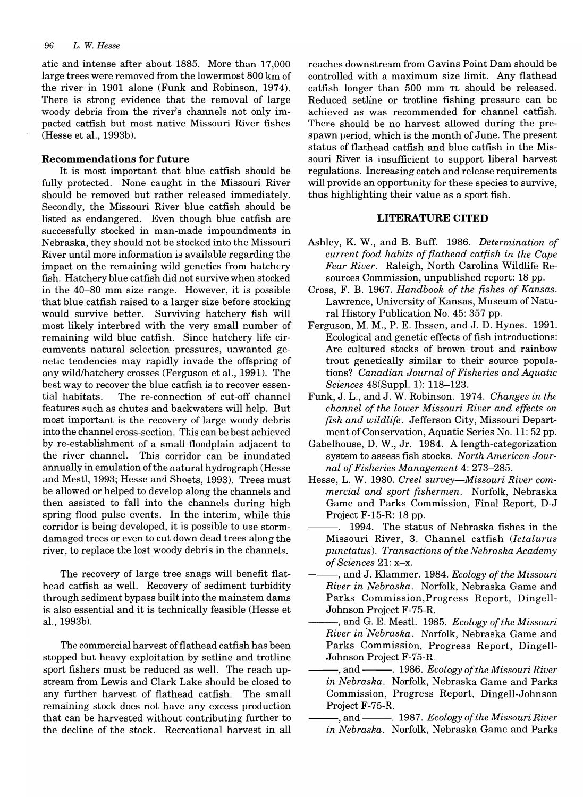atic and intense after about 1885. More than 17,000 large trees were removed from the lowermost 800 km of the river in 1901 alone (Funk and Robinson, 1974). There is strong evidence that the removal of large woody debris from the river's channels not only impacted catfish but most native Missouri River fishes (Hesse et al., 1993b).

# **Recommendations for future**

It is most important that blue catfish should be fully protected. None caught in the Missouri River should be removed but rather released immediately. Secondly, the Missouri River blue catfish should be listed as endangered. Even though blue catfish are successfully stocked in man-made impoundments in Nebraska, they should not be stocked into the Missouri River until more information is available regarding the impact on the remaining wild genetics from hatchery fish. Hatchery blue catfish did not survive when stocked in the 40-80 mm size range. However, it is possible that blue catfish raised to a larger size before stocking would survive better. Surviving hatchery fish will most likely interbred with the very small number of remaining wild blue catfish. Since hatchery life circumvents natural selection pressures, unwanted genetic tendencies may rapidly invade the offspring of any wild/hatchery crosses (Ferguson et al., 1991). The best way to recover the blue catfish is to recover essential habitats. The re-connection of cut-off channel features such as chutes and backwaters will help. But most important is the recovery of large woody debris into the channel cross-section. This can be best achieved by re-establishment of a small floodplain adjacent to the river channel. This corridor can be inundated annually in emulation ofthe natural hydrograph (Hesse and Mestl, 1993; Hesse and Sheets, 1993). Trees must be allowed or helped to develop along the channels and then assisted to fall into the channels during high spring flood pulse events. In the interim, while this corridor is being developed, it is possible to use stormdamaged trees or even to cut down dead trees along the river, to replace the lost woody debris in the channels.

The recovery of large tree snags will benefit flathead catfish as well. Recovery of sediment turbidity through sediment bypass built into the mainstem dams is also essential and it is technically feasible (Hesse et al., 1993b).

The commercial harvest of flathead catfish has been stopped but heavy exploitation by setline and trotline sport fishers must be reduced as well. The reach upstream from Lewis and Clark Lake should be closed to any further harvest of flathead catfish. The small remaining stock does not have any excess production that can be harvested without contributing further to the decline of the stock. Recreational harvest in all

reaches downstream from Gavins Point Dam should be controlled with a maximum size limit. Any flathead catfish longer than 500 mm TL should be released. Reduced setline or trotline fishing pressure can be achieved as was recommended for channel catfish. There should be no harvest allowed during the prespawn period, which is the month of June. The present status of flathead catfish and blue catfish in the Missouri River is insufficient to support liberal harvest regulations. Increasing catch and release requirements will provide an opportunity for these species to survive, thus highlighting their value as a sport fish.

# **LITERATURE CITED**

- Ashley, K. W., and B. Buff. 1986. *Determination of current food habits of flathead catfish in the Cape Fear River.* Raleigh, North Carolina Wildlife Resources Commission, unpublished report: 18 pp.
- Cross, F. B. 1967. *Handbook of the fishes of Kansas.*  Lawrence, University of Kansas, Museum of Natural History Publication No. 45: 357 pp.
- Ferguson, M. M., P. E. Ihssen, and J. D. Hynes. 1991. Ecological and genetic effects of fish introductions: Are cultured stocks of brown trout and rainbow trout genetically similar to their source populations? *Canadian Journal of Fisheries and Aquatic Sciences* 48(Suppl. 1): 118-123.
- Funk, J. L., and J. W. Robinson. 1974. *Changes in the channel of the lower Missouri River and effects on fish and wildlife.* Jefferson City, Missouri Department of Conservation, Aquatic Series No. 11: 52 pp.
- Gabelhouse, D. W., Jr. 1984. A length-categorization system to assess fish stocks. *North American Journal of Fisheries Management* 4: 273-285.
- Hesse, L. W. 1980. *Creel survey-Missouri River commercial and sport fishermen.* Norfolk, Nebraska Game and Parks Commission, Final Report, D-J Project F-15-R: 18 pp.
- -. 1994. The status of Nebraska fishes in the Missouri River, 3. Channel catfish *(/ctalurus punctatus). Transactions of the Nebraska Academy of Sciences* 21: x-x.
- ---, and J. Klammer. 1984. *Ecology of the Missouri River in Nebraska.* Norfolk, Nebraska Game and Parks Commission,Progress Report, Dingell-Johnson Project F-75-R.
- --, and G. E. Mestl. 1985. *Ecology of the Missouri River in ·Nebraska.* Norfolk, Nebraska Game and Parks Commission, Progress Report, Dingell-Johnson Project F-75-R.
- ---, and ---. 1986. *Ecology of the Missouri River in Nebraska.* Norfolk, Nebraska Game and Parks Commission, Progress Report, Dingell-Johnson Project F-75-R.
- and ———, 1987. *Ecology of the Missouri River in Nebraska.* Norfolk, Nebraska Game and Parks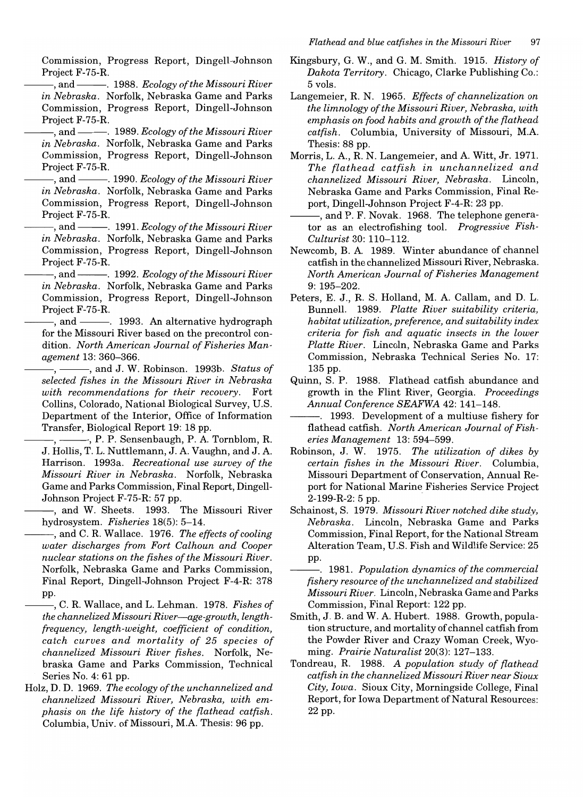Commission, Progress Report, Dingell-Johnson Project F-75-R.

-, and ———. 1988. *Ecology of the Missouri River in Nebraska.* Norfolk, Nebraska Game and Parks Commission, Progress Report, Dingell-Johnson Project F-75-R.

-, and ———. 1989. *Ecology of the Missouri River in Nebraska.* Norfolk, Nebraska Game and Parks Commission, Progress Report, Dingell-Johnson Project F-75-R.

--, and --. 1990. *Ecology of the Missouri River in Nebraska.* Norfolk, Nebraska Game and Parks Commission, Progress Report, Dingell-Johnson Project F-75-R.

-, and ———. 1991. *Ecology of the Missouri River in Nebraska.* Norfolk, Nebraska Game and Parks Commission, Progress Report, Dingell-Johnson Project F-75-R.

-, and ————. 1992. *Ecology of the Missouri River in Nebraska.* Norfolk, Nebraska Game and Parks Commission, Progress Report, Dingell-Johnson Project F-75-R.

and ———. 1993. An alternative hydrograph for the Missouri River based on the precontrol condition. *North American Journal of Fisheries Management* 13: 360-366.

 $-$ ,  $-$ , and J. W. Robinson. 1993b. *Status of selected fishes in the Missouri River in Nebraska with recommendations for their recovery.* Fort Collins, Colorado, National Biological Survey, U.S. Department of the Interior, Office of Information Transfer, Biological Report 19: 18 pp.

 $-$ , P. P. Sensenbaugh, P. A. Tornblom, R. J. Hollis, T. L. Nuttlemann, J. A. Vaughn, and J. A. Harrison. 1993a. *Recreational use survey of the Missouri River in Nebraska.* Norfolk, Nebraska Game and Parks Commission, Final Report, Dingell-Johnson Project F-75-R: 57 pp.

-, and W. Sheets. 1993. The Missouri River hydrosystem. *Fisheries* 18(5): 5-14.

--, and C. R. Wallace. 1976. *The effects of cooling water discharges from Fort Calhoun and Cooper nuclear stations on the fishes of the Missouri River.*  Norfolk, Nebraska Game and Parks Commission, Final Report, Dingell-Johnson Project F-4-R: 378 pp.

--, C. R. Wallace, and L. Lehman. 1978. *Fishes of the channelized Missouri River-age-growth, lengthfrequency, length-weight, coefficient of condition, catch curves and mortality of* 25 *species of channelized Missouri River fishes.* Norfolk, Nebraska Game and Parks Commission, Technical Series No. 4: 61 pp.

Holz, D. D. 1969. *The ecology of the unchannelized and channelized Missouri River, Nebraska, with emphasis on the life history of the flathead catfish.*  Columbia, Univ. of Missouri, M.A. Thesis: 96 pp.

Kingsbury, G. W., and G. M. Smith. 1915. *History of Dakota Territory.* Chicago, Clarke Publishing Co.: 5 vols.

Langemeier, R. N. 1965. *Effects of channelization on the limnology of the Missouri River, Nebraska, with emphasis on food habits and growth of the flathead catfish.* Columbia, University of Missouri, M.A. Thesis: 88 pp.

Morris, L. A., R. N. Langemeier, and A. Witt, Jr. 1971. *The flathead catfish in unchannelized and channelized Missouri River, Nebraska.* Lincoln, Nebraska Game and Parks Commission, Final Report, Dingell-Johnson Project F-4-R: 23 pp.

--, and P. F. Novak. 1968. The telephone generator as an electrofishing tool. *Progressive Fish-Culturist* 30: 110-112.

Newcomb, B. A. 1989. Winter abundance of channel catfish in the channelized Missouri River, Nebraska. *North American Journal of Fisheries Management*  9: 195-202.

- Peters, E. J., R. S. Holland, M. A. Callam, and D. L. Bunnell. 1989. *Platte River suitability criteria, habitat utilization, preference, and suitability index criteria for fish and aquatic insects in the lower Platte River.* Lincoln, Nebraska Game and Parks Commission, Nebraska Technical Series No. 17: 135 pp.
- Quinn, S. P. 1988. Flathead catfish abundance and growth in the Flint River, Georgia. *Proceedings Annual Conference SEAFWA* 42: 141-148.

---. 1993. Development of a multiuse fishery for flathead catfish. *North American Journal of Fisheries Management* 13: 594-599.

- Robinson, J. W. 1975. *The utilization of dikes by certain fishes in the Missouri River.* Columbia, Missouri Department of Conservation, Annual Report for National Marine Fisheries Service Project 2-199-R-2: 5 pp.
- Schainost, S. 1979. *Missouri River notched dike study, Nebraska.* Lincoln, Nebraska Game and Parks Commission, Final Report, for the National Stream Alteration Team, U.s. Fish and Wildlife Service: 25 pp.
- ---. 1981. *Population dynamics of the commercial fishery resource of the unchannelized and stabilized Missouri River.* Lincoln, Nebraska Game and Parks Commission, Final Report: 122 pp.
- Smith, J. B. and W. A. Hubert. 1988. Growth, population structure, and mortality of channel catfish from the Powder River and Crazy Woman Creek, Wyoming. *Prairie Naturalist* 20(3): 127-133.
- Tondreau, R. 1988. *A population study of flathead catfish in the channelized Missouri River near Sioux City, Iowa.* Sioux City, Morningside College, Final Report, for Iowa Department of Natural Resources: 22 pp.